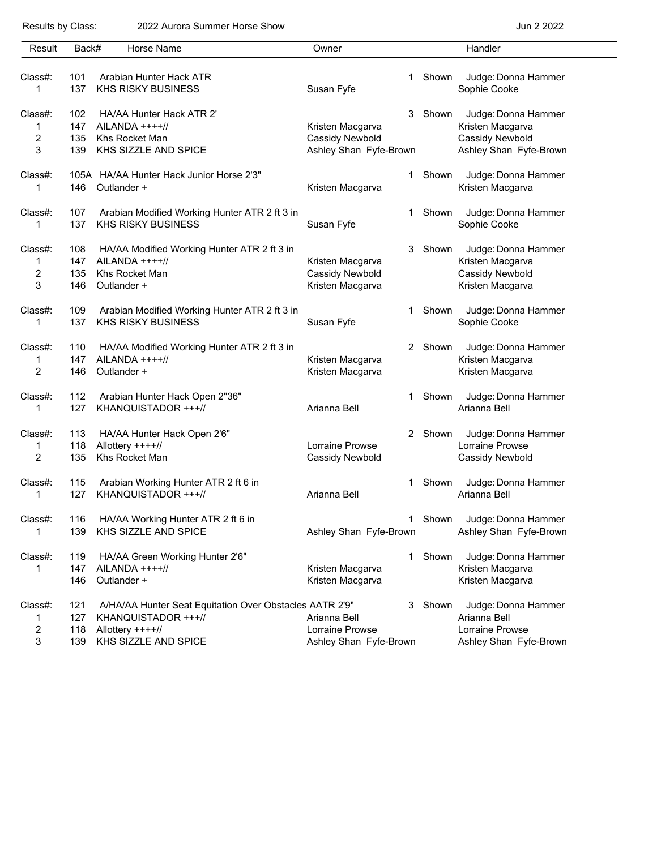## Results by Class: 2022 Aurora Summer Horse Show **Container Accepts 2022** Jun 2 2022

| Result  | Back# | Horse Name                                              | Owner                  |         | Handler                |
|---------|-------|---------------------------------------------------------|------------------------|---------|------------------------|
|         |       |                                                         |                        |         |                        |
| Class#: | 101   | Arabian Hunter Hack ATR                                 |                        | 1 Shown | Judge: Donna Hammer    |
| 1       | 137   | <b>KHS RISKY BUSINESS</b>                               | Susan Fyfe             |         | Sophie Cooke           |
| Class#: | 102   | HA/AA Hunter Hack ATR 2'                                | 3                      | Shown   | Judge: Donna Hammer    |
| 1       | 147   | $AILANDA$ ++++//                                        | Kristen Macgarva       |         | Kristen Macgarva       |
| 2       | 135   | Khs Rocket Man                                          | Cassidy Newbold        |         | Cassidy Newbold        |
| 3       | 139   | KHS SIZZLE AND SPICE                                    | Ashley Shan Fyfe-Brown |         | Ashley Shan Fyfe-Brown |
| Class#: |       | 105A HA/AA Hunter Hack Junior Horse 2'3"                | 1                      | Shown   | Judge: Donna Hammer    |
| 1       | 146   | Outlander +                                             | Kristen Macgarva       |         | Kristen Macgarva       |
| Class#: | 107   | Arabian Modified Working Hunter ATR 2 ft 3 in           | 1                      | Shown   | Judge: Donna Hammer    |
| 1       | 137   | <b>KHS RISKY BUSINESS</b>                               | Susan Fyfe             |         | Sophie Cooke           |
| Class#: | 108   | HA/AA Modified Working Hunter ATR 2 ft 3 in             | 3                      | Shown   | Judge: Donna Hammer    |
| 1       | 147   | $AILANDA$ ++++//                                        | Kristen Macgarva       |         | Kristen Macgarva       |
| 2       | 135   | Khs Rocket Man                                          | Cassidy Newbold        |         | Cassidy Newbold        |
| 3       | 146   | Outlander +                                             | Kristen Macgarva       |         | Kristen Macgarva       |
| Class#: | 109   | Arabian Modified Working Hunter ATR 2 ft 3 in           | 1.                     | Shown   | Judge: Donna Hammer    |
| 1       | 137   | <b>KHS RISKY BUSINESS</b>                               | Susan Fyfe             |         | Sophie Cooke           |
| Class#: | 110   | HA/AA Modified Working Hunter ATR 2 ft 3 in             |                        | 2 Shown | Judge: Donna Hammer    |
| 1       | 147   | $AILANDA$ ++++//                                        | Kristen Macgarva       |         | Kristen Macgarva       |
| 2       | 146   | Outlander +                                             | Kristen Macgarva       |         | Kristen Macgarva       |
| Class#: | 112   | Arabian Hunter Hack Open 2"36"                          | 1                      | Shown   | Judge: Donna Hammer    |
| 1       | 127   | KHANQUISTADOR +++//                                     | Arianna Bell           |         | Arianna Bell           |
| Class#: | 113   | HA/AA Hunter Hack Open 2'6"                             |                        | 2 Shown | Judge: Donna Hammer    |
| 1       | 118   | Allottery ++++//                                        | Lorraine Prowse        |         | Lorraine Prowse        |
| 2       | 135   | Khs Rocket Man                                          | Cassidy Newbold        |         | Cassidy Newbold        |
| Class#: | 115   | Arabian Working Hunter ATR 2 ft 6 in                    | 1                      | Shown   | Judge: Donna Hammer    |
| 1       | 127   | KHANQUISTADOR +++//                                     | Arianna Bell           |         | Arianna Bell           |
| Class#: | 116   | HA/AA Working Hunter ATR 2 ft 6 in                      | 1                      | Shown   | Judge: Donna Hammer    |
| 1       | 139   | KHS SIZZLE AND SPICE                                    | Ashley Shan Fyfe-Brown |         | Ashley Shan Fyfe-Brown |
| Class#: | 119   | HA/AA Green Working Hunter 2'6"                         | 1                      | Shown   | Judge: Donna Hammer    |
| 1       | 147   | $AILANDA$ ++++//                                        | Kristen Macgarva       |         | Kristen Macgarva       |
|         | 146   | Outlander +                                             | Kristen Macgarva       |         | Kristen Macgarva       |
| Class#: | 121   | A/HA/AA Hunter Seat Equitation Over Obstacles AATR 2'9" |                        | 3 Shown | Judge: Donna Hammer    |
| 1       | 127   | KHANQUISTADOR +++//                                     | Arianna Bell           |         | Arianna Bell           |
| 2       | 118   | Allottery ++++//                                        | Lorraine Prowse        |         | Lorraine Prowse        |
| 3       | 139   | KHS SIZZLE AND SPICE                                    | Ashley Shan Fyfe-Brown |         | Ashley Shan Fyfe-Brown |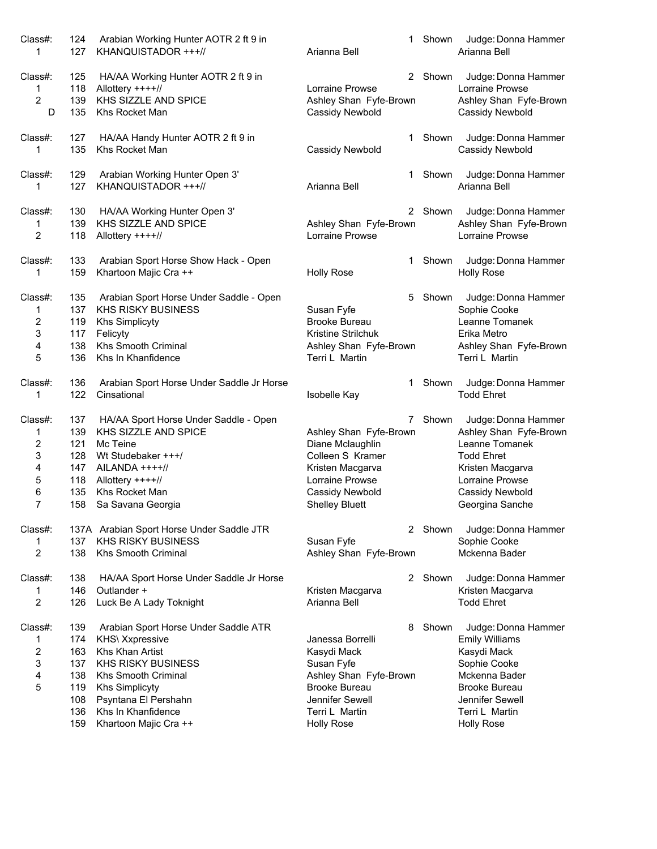| Class#:                                                | 124                                                         | Arabian Working Hunter AOTR 2 ft 9 in                                                                                                                                                                                                 | 1                                                                                                                                                              | Shown   | Judge: Donna Hammer                                                                                                                                                            |
|--------------------------------------------------------|-------------------------------------------------------------|---------------------------------------------------------------------------------------------------------------------------------------------------------------------------------------------------------------------------------------|----------------------------------------------------------------------------------------------------------------------------------------------------------------|---------|--------------------------------------------------------------------------------------------------------------------------------------------------------------------------------|
| 1                                                      | 127                                                         | KHANQUISTADOR +++//                                                                                                                                                                                                                   | Arianna Bell                                                                                                                                                   |         | Arianna Bell                                                                                                                                                                   |
| Class#:                                                | 125                                                         | HA/AA Working Hunter AOTR 2 ft 9 in                                                                                                                                                                                                   | $\overline{2}$                                                                                                                                                 | Shown   | Judge: Donna Hammer                                                                                                                                                            |
| 1                                                      | 118                                                         | Allottery ++++//                                                                                                                                                                                                                      | <b>Lorraine Prowse</b>                                                                                                                                         |         | Lorraine Prowse                                                                                                                                                                |
| 2                                                      | 139                                                         | KHS SIZZLE AND SPICE                                                                                                                                                                                                                  | Ashley Shan Fyfe-Brown                                                                                                                                         |         | Ashley Shan Fyfe-Brown                                                                                                                                                         |
| D                                                      | 135                                                         | Khs Rocket Man                                                                                                                                                                                                                        | Cassidy Newbold                                                                                                                                                |         | Cassidy Newbold                                                                                                                                                                |
| Class#:                                                | 127                                                         | HA/AA Handy Hunter AOTR 2 ft 9 in                                                                                                                                                                                                     | 1                                                                                                                                                              | Shown   | Judge: Donna Hammer                                                                                                                                                            |
| 1                                                      | 135                                                         | Khs Rocket Man                                                                                                                                                                                                                        | Cassidy Newbold                                                                                                                                                |         | Cassidy Newbold                                                                                                                                                                |
| Class#:                                                | 129                                                         | Arabian Working Hunter Open 3'                                                                                                                                                                                                        | 1                                                                                                                                                              | Shown   | Judge: Donna Hammer                                                                                                                                                            |
| 1                                                      | 127                                                         | KHANQUISTADOR +++//                                                                                                                                                                                                                   | Arianna Bell                                                                                                                                                   |         | Arianna Bell                                                                                                                                                                   |
| Class#:<br>1<br>2                                      | 130<br>139<br>118                                           | HA/AA Working Hunter Open 3'<br>KHS SIZZLE AND SPICE<br>Allottery ++++//                                                                                                                                                              | Ashley Shan Fyfe-Brown<br>Lorraine Prowse                                                                                                                      | 2 Shown | Judge: Donna Hammer<br>Ashley Shan Fyfe-Brown<br>Lorraine Prowse                                                                                                               |
| Class#:                                                | 133                                                         | Arabian Sport Horse Show Hack - Open                                                                                                                                                                                                  | 1                                                                                                                                                              | Shown   | Judge: Donna Hammer                                                                                                                                                            |
| 1                                                      | 159                                                         | Khartoon Majic Cra ++                                                                                                                                                                                                                 | <b>Holly Rose</b>                                                                                                                                              |         | <b>Holly Rose</b>                                                                                                                                                              |
| Class#:                                                | 135                                                         | Arabian Sport Horse Under Saddle - Open                                                                                                                                                                                               | 5.                                                                                                                                                             | Shown   | Judge: Donna Hammer                                                                                                                                                            |
| 1                                                      | 137                                                         | <b>KHS RISKY BUSINESS</b>                                                                                                                                                                                                             | Susan Fyfe                                                                                                                                                     |         | Sophie Cooke                                                                                                                                                                   |
| 2                                                      | 119                                                         | <b>Khs Simplicyty</b>                                                                                                                                                                                                                 | <b>Brooke Bureau</b>                                                                                                                                           |         | Leanne Tomanek                                                                                                                                                                 |
| 3                                                      | 117                                                         | Felicyty                                                                                                                                                                                                                              | Kristine Strilchuk                                                                                                                                             |         | Erika Metro                                                                                                                                                                    |
| 4                                                      | 138                                                         | Khs Smooth Criminal                                                                                                                                                                                                                   | Ashley Shan Fyfe-Brown                                                                                                                                         |         | Ashley Shan Fyfe-Brown                                                                                                                                                         |
| 5                                                      | 136                                                         | Khs In Khanfidence                                                                                                                                                                                                                    | Terri L Martin                                                                                                                                                 |         | Terri L Martin                                                                                                                                                                 |
| Class#:                                                | 136                                                         | Arabian Sport Horse Under Saddle Jr Horse                                                                                                                                                                                             | 1                                                                                                                                                              | Shown   | Judge: Donna Hammer                                                                                                                                                            |
| 1                                                      | 122                                                         | Cinsational                                                                                                                                                                                                                           | Isobelle Kay                                                                                                                                                   |         | <b>Todd Ehret</b>                                                                                                                                                              |
| Class#:                                                | 137                                                         | HA/AA Sport Horse Under Saddle - Open                                                                                                                                                                                                 | 7                                                                                                                                                              | Shown   | Judge: Donna Hammer                                                                                                                                                            |
| 1                                                      | 139                                                         | KHS SIZZLE AND SPICE                                                                                                                                                                                                                  | Ashley Shan Fyfe-Brown                                                                                                                                         |         | Ashley Shan Fyfe-Brown                                                                                                                                                         |
| $\overline{\mathbf{c}}$                                | 121                                                         | Mc Teine                                                                                                                                                                                                                              | Diane Mclaughlin                                                                                                                                               |         | Leanne Tomanek                                                                                                                                                                 |
| 3                                                      | 128                                                         | Wt Studebaker +++/                                                                                                                                                                                                                    | Colleen S Kramer                                                                                                                                               |         | <b>Todd Ehret</b>                                                                                                                                                              |
| 4                                                      | 147                                                         | $AILANDA +++//$                                                                                                                                                                                                                       | Kristen Macgarva                                                                                                                                               |         | Kristen Macgarva                                                                                                                                                               |
| 5                                                      | 118                                                         | Allottery ++++//                                                                                                                                                                                                                      | Lorraine Prowse                                                                                                                                                |         | Lorraine Prowse                                                                                                                                                                |
| 6                                                      | 135                                                         | Khs Rocket Man                                                                                                                                                                                                                        | Cassidy Newbold                                                                                                                                                |         | Cassidy Newbold                                                                                                                                                                |
| $\overline{7}$                                         | 158                                                         | Sa Savana Georgia                                                                                                                                                                                                                     | <b>Shelley Bluett</b>                                                                                                                                          |         | Georgina Sanche                                                                                                                                                                |
| Class#:<br>1<br>2                                      | 137<br>138                                                  | 137A Arabian Sport Horse Under Saddle JTR<br><b>KHS RISKY BUSINESS</b><br>Khs Smooth Criminal                                                                                                                                         | Susan Fyfe<br>Ashley Shan Fyfe-Brown                                                                                                                           | 2 Shown | Judge: Donna Hammer<br>Sophie Cooke<br>Mckenna Bader                                                                                                                           |
| Class#:<br>1<br>2                                      | 138<br>146<br>126                                           | HA/AA Sport Horse Under Saddle Jr Horse<br>Outlander +<br>Luck Be A Lady Toknight                                                                                                                                                     | Kristen Macgarva<br>Arianna Bell                                                                                                                               | 2 Shown | Judge: Donna Hammer<br>Kristen Macgarva<br><b>Todd Ehret</b>                                                                                                                   |
| Class#:<br>1<br>$\overline{\mathbf{c}}$<br>3<br>4<br>5 | 139<br>174<br>163<br>137<br>138<br>119<br>108<br>136<br>159 | Arabian Sport Horse Under Saddle ATR<br><b>KHS\ Xxpressive</b><br>Khs Khan Artist<br><b>KHS RISKY BUSINESS</b><br>Khs Smooth Criminal<br><b>Khs Simplicyty</b><br>Psyntana El Pershahn<br>Khs In Khanfidence<br>Khartoon Majic Cra ++ | 8<br>Janessa Borrelli<br>Kasydi Mack<br>Susan Fyfe<br>Ashley Shan Fyfe-Brown<br><b>Brooke Bureau</b><br>Jennifer Sewell<br>Terri L Martin<br><b>Holly Rose</b> | Shown   | Judge: Donna Hammer<br><b>Emily Williams</b><br>Kasydi Mack<br>Sophie Cooke<br>Mckenna Bader<br><b>Brooke Bureau</b><br>Jennifer Sewell<br>Terri L Martin<br><b>Holly Rose</b> |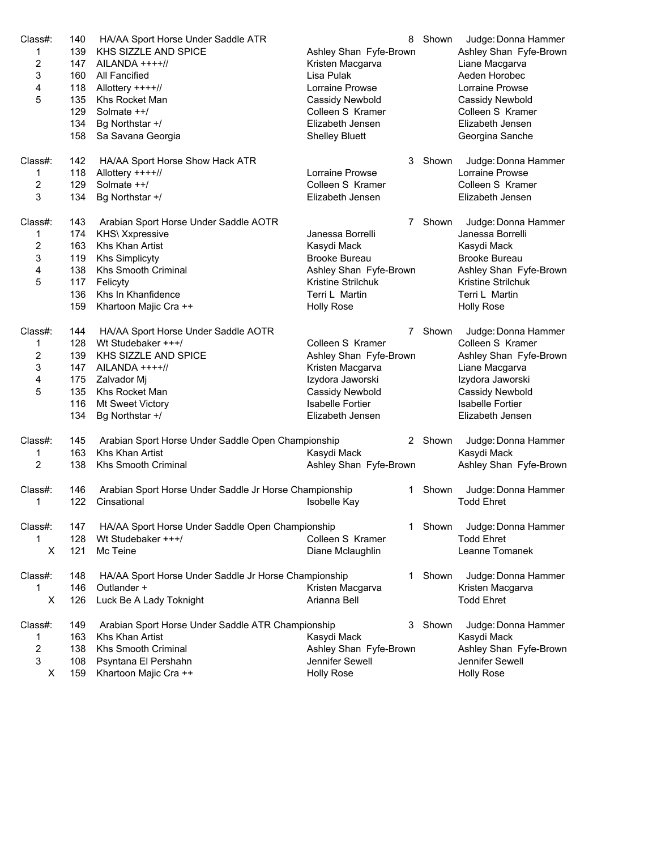| Judge: Donna Hammer<br>Class#:<br>142<br>HA/AA Sport Horse Show Hack ATR<br>3<br>Shown<br>118<br><b>Lorraine Prowse</b><br>1<br>Allottery ++++//<br>Lorraine Prowse<br>2<br>129<br>Solmate ++/<br>Colleen S Kramer<br>Colleen S Kramer<br>3<br>134<br>Bg Northstar +/<br>Elizabeth Jensen<br>Elizabeth Jensen<br>Class#:<br>143<br>Arabian Sport Horse Under Saddle AOTR<br>7 Shown<br>Judge: Donna Hammer<br>174<br><b>KHS\ Xxpressive</b><br>Janessa Borrelli<br>Janessa Borrelli<br>1<br>163<br>2<br>Khs Khan Artist<br>Kasydi Mack<br>Kasydi Mack<br>3<br>119<br><b>Khs Simplicyty</b><br><b>Brooke Bureau</b><br><b>Brooke Bureau</b><br>138<br>Ashley Shan Fyfe-Brown<br>4<br>Khs Smooth Criminal<br>Ashley Shan Fyfe-Brown<br>5<br>117<br>Felicyty<br>Kristine Strilchuk<br>Kristine Strilchuk<br>136<br>Khs In Khanfidence<br>Terri L Martin<br>Terri L Martin<br>159<br>Khartoon Majic Cra ++<br><b>Holly Rose</b><br><b>Holly Rose</b><br>Class#:<br>Judge: Donna Hammer<br>144<br>HA/AA Sport Horse Under Saddle AOTR<br>7<br>Shown<br>128<br>Wt Studebaker +++/<br>Colleen S Kramer<br>Colleen S Kramer<br>1<br>2<br>139<br>KHS SIZZLE AND SPICE<br>Ashley Shan Fyfe-Brown<br>Ashley Shan Fyfe-Brown<br>3<br>147<br>AILANDA ++++//<br>Kristen Macgarva<br>Liane Macgarva<br>4<br>175<br>Zalvador Mj<br>Izydora Jaworski<br>Izydora Jaworski<br>5<br>135<br>Khs Rocket Man<br>Cassidy Newbold<br>Cassidy Newbold<br>116<br>Mt Sweet Victory<br><b>Isabelle Fortier</b><br><b>Isabelle Fortier</b><br>134<br>Bg Northstar +/<br>Elizabeth Jensen<br>Elizabeth Jensen<br>Class#:<br>145<br>Arabian Sport Horse Under Saddle Open Championship<br>2 Shown<br>Judge: Donna Hammer<br>163<br>Khs Khan Artist<br>Kasydi Mack<br>Kasydi Mack<br>1<br>2<br>138<br><b>Khs Smooth Criminal</b><br>Ashley Shan Fyfe-Brown<br>Ashley Shan Fyfe-Brown<br>146<br>Arabian Sport Horse Under Saddle Jr Horse Championship<br>Shown<br>Judge: Donna Hammer<br>Class#:<br>1<br>1<br>122<br>Cinsational<br><b>Todd Ehret</b><br>Isobelle Kay<br>Class#:<br>147<br>HA/AA Sport Horse Under Saddle Open Championship<br>Shown<br>Judge: Donna Hammer<br>1.<br>1<br>128<br>Wt Studebaker +++/<br><b>Todd Ehret</b><br>Colleen S Kramer<br>X<br>121<br>Mc Teine<br>Leanne Tomanek<br>Diane Mclaughlin<br>Class#:<br>Shown<br>Judge: Donna Hammer<br>148<br>HA/AA Sport Horse Under Saddle Jr Horse Championship<br>1.<br>146<br>Outlander +<br>Kristen Macgarva<br>1<br>Kristen Macgarva<br>X<br>126<br>Arianna Bell<br><b>Todd Ehret</b><br>Luck Be A Lady Toknight<br>Class#:<br>149<br>Arabian Sport Horse Under Saddle ATR Championship<br>Shown<br>Judge: Donna Hammer<br>3.<br>163<br>Khs Khan Artist<br>Kasydi Mack<br>1<br>Kasydi Mack<br>$\overline{\mathbf{c}}$<br>138<br><b>Khs Smooth Criminal</b><br>Ashley Shan Fyfe-Brown<br>Ashley Shan Fyfe-Brown<br>3<br>108<br>Jennifer Sewell<br>Jennifer Sewell<br>Psyntana El Pershahn<br>159<br>X<br>Khartoon Majic Cra ++<br><b>Holly Rose</b><br><b>Holly Rose</b> | Class#:<br>1<br>2<br>3<br>4<br>5 | 140<br>139<br>147<br>160<br>118<br>135<br>129<br>134<br>158 | HA/AA Sport Horse Under Saddle ATR<br>KHS SIZZLE AND SPICE<br>AILANDA ++++//<br>All Fancified<br>Allottery ++++//<br>Khs Rocket Man<br>Solmate ++/<br>Bg Northstar +/<br>Sa Savana Georgia | 8<br>Ashley Shan Fyfe-Brown<br>Kristen Macgarva<br>Lisa Pulak<br>Lorraine Prowse<br>Cassidy Newbold<br>Colleen S Kramer<br>Elizabeth Jensen<br><b>Shelley Bluett</b> | Shown | Judge: Donna Hammer<br>Ashley Shan Fyfe-Brown<br>Liane Macgarva<br>Aeden Horobec<br>Lorraine Prowse<br>Cassidy Newbold<br>Colleen S Kramer<br>Elizabeth Jensen<br>Georgina Sanche |
|-----------------------------------------------------------------------------------------------------------------------------------------------------------------------------------------------------------------------------------------------------------------------------------------------------------------------------------------------------------------------------------------------------------------------------------------------------------------------------------------------------------------------------------------------------------------------------------------------------------------------------------------------------------------------------------------------------------------------------------------------------------------------------------------------------------------------------------------------------------------------------------------------------------------------------------------------------------------------------------------------------------------------------------------------------------------------------------------------------------------------------------------------------------------------------------------------------------------------------------------------------------------------------------------------------------------------------------------------------------------------------------------------------------------------------------------------------------------------------------------------------------------------------------------------------------------------------------------------------------------------------------------------------------------------------------------------------------------------------------------------------------------------------------------------------------------------------------------------------------------------------------------------------------------------------------------------------------------------------------------------------------------------------------------------------------------------------------------------------------------------------------------------------------------------------------------------------------------------------------------------------------------------------------------------------------------------------------------------------------------------------------------------------------------------------------------------------------------------------------------------------------------------------------------------------------------------------------------------------------------------------------------------------------------------------------------------------------------------------------------------------------------------------------------------------------------------------------------------------------------------------------------------------------------------------------------------------------------------------------------------------------------|----------------------------------|-------------------------------------------------------------|--------------------------------------------------------------------------------------------------------------------------------------------------------------------------------------------|----------------------------------------------------------------------------------------------------------------------------------------------------------------------|-------|-----------------------------------------------------------------------------------------------------------------------------------------------------------------------------------|
|                                                                                                                                                                                                                                                                                                                                                                                                                                                                                                                                                                                                                                                                                                                                                                                                                                                                                                                                                                                                                                                                                                                                                                                                                                                                                                                                                                                                                                                                                                                                                                                                                                                                                                                                                                                                                                                                                                                                                                                                                                                                                                                                                                                                                                                                                                                                                                                                                                                                                                                                                                                                                                                                                                                                                                                                                                                                                                                                                                                                                 |                                  |                                                             |                                                                                                                                                                                            |                                                                                                                                                                      |       |                                                                                                                                                                                   |
|                                                                                                                                                                                                                                                                                                                                                                                                                                                                                                                                                                                                                                                                                                                                                                                                                                                                                                                                                                                                                                                                                                                                                                                                                                                                                                                                                                                                                                                                                                                                                                                                                                                                                                                                                                                                                                                                                                                                                                                                                                                                                                                                                                                                                                                                                                                                                                                                                                                                                                                                                                                                                                                                                                                                                                                                                                                                                                                                                                                                                 |                                  |                                                             |                                                                                                                                                                                            |                                                                                                                                                                      |       |                                                                                                                                                                                   |
|                                                                                                                                                                                                                                                                                                                                                                                                                                                                                                                                                                                                                                                                                                                                                                                                                                                                                                                                                                                                                                                                                                                                                                                                                                                                                                                                                                                                                                                                                                                                                                                                                                                                                                                                                                                                                                                                                                                                                                                                                                                                                                                                                                                                                                                                                                                                                                                                                                                                                                                                                                                                                                                                                                                                                                                                                                                                                                                                                                                                                 |                                  |                                                             |                                                                                                                                                                                            |                                                                                                                                                                      |       |                                                                                                                                                                                   |
|                                                                                                                                                                                                                                                                                                                                                                                                                                                                                                                                                                                                                                                                                                                                                                                                                                                                                                                                                                                                                                                                                                                                                                                                                                                                                                                                                                                                                                                                                                                                                                                                                                                                                                                                                                                                                                                                                                                                                                                                                                                                                                                                                                                                                                                                                                                                                                                                                                                                                                                                                                                                                                                                                                                                                                                                                                                                                                                                                                                                                 |                                  |                                                             |                                                                                                                                                                                            |                                                                                                                                                                      |       |                                                                                                                                                                                   |
|                                                                                                                                                                                                                                                                                                                                                                                                                                                                                                                                                                                                                                                                                                                                                                                                                                                                                                                                                                                                                                                                                                                                                                                                                                                                                                                                                                                                                                                                                                                                                                                                                                                                                                                                                                                                                                                                                                                                                                                                                                                                                                                                                                                                                                                                                                                                                                                                                                                                                                                                                                                                                                                                                                                                                                                                                                                                                                                                                                                                                 |                                  |                                                             |                                                                                                                                                                                            |                                                                                                                                                                      |       |                                                                                                                                                                                   |
|                                                                                                                                                                                                                                                                                                                                                                                                                                                                                                                                                                                                                                                                                                                                                                                                                                                                                                                                                                                                                                                                                                                                                                                                                                                                                                                                                                                                                                                                                                                                                                                                                                                                                                                                                                                                                                                                                                                                                                                                                                                                                                                                                                                                                                                                                                                                                                                                                                                                                                                                                                                                                                                                                                                                                                                                                                                                                                                                                                                                                 |                                  |                                                             |                                                                                                                                                                                            |                                                                                                                                                                      |       |                                                                                                                                                                                   |
|                                                                                                                                                                                                                                                                                                                                                                                                                                                                                                                                                                                                                                                                                                                                                                                                                                                                                                                                                                                                                                                                                                                                                                                                                                                                                                                                                                                                                                                                                                                                                                                                                                                                                                                                                                                                                                                                                                                                                                                                                                                                                                                                                                                                                                                                                                                                                                                                                                                                                                                                                                                                                                                                                                                                                                                                                                                                                                                                                                                                                 |                                  |                                                             |                                                                                                                                                                                            |                                                                                                                                                                      |       |                                                                                                                                                                                   |
|                                                                                                                                                                                                                                                                                                                                                                                                                                                                                                                                                                                                                                                                                                                                                                                                                                                                                                                                                                                                                                                                                                                                                                                                                                                                                                                                                                                                                                                                                                                                                                                                                                                                                                                                                                                                                                                                                                                                                                                                                                                                                                                                                                                                                                                                                                                                                                                                                                                                                                                                                                                                                                                                                                                                                                                                                                                                                                                                                                                                                 |                                  |                                                             |                                                                                                                                                                                            |                                                                                                                                                                      |       |                                                                                                                                                                                   |
|                                                                                                                                                                                                                                                                                                                                                                                                                                                                                                                                                                                                                                                                                                                                                                                                                                                                                                                                                                                                                                                                                                                                                                                                                                                                                                                                                                                                                                                                                                                                                                                                                                                                                                                                                                                                                                                                                                                                                                                                                                                                                                                                                                                                                                                                                                                                                                                                                                                                                                                                                                                                                                                                                                                                                                                                                                                                                                                                                                                                                 |                                  |                                                             |                                                                                                                                                                                            |                                                                                                                                                                      |       |                                                                                                                                                                                   |
|                                                                                                                                                                                                                                                                                                                                                                                                                                                                                                                                                                                                                                                                                                                                                                                                                                                                                                                                                                                                                                                                                                                                                                                                                                                                                                                                                                                                                                                                                                                                                                                                                                                                                                                                                                                                                                                                                                                                                                                                                                                                                                                                                                                                                                                                                                                                                                                                                                                                                                                                                                                                                                                                                                                                                                                                                                                                                                                                                                                                                 |                                  |                                                             |                                                                                                                                                                                            |                                                                                                                                                                      |       |                                                                                                                                                                                   |
|                                                                                                                                                                                                                                                                                                                                                                                                                                                                                                                                                                                                                                                                                                                                                                                                                                                                                                                                                                                                                                                                                                                                                                                                                                                                                                                                                                                                                                                                                                                                                                                                                                                                                                                                                                                                                                                                                                                                                                                                                                                                                                                                                                                                                                                                                                                                                                                                                                                                                                                                                                                                                                                                                                                                                                                                                                                                                                                                                                                                                 |                                  |                                                             |                                                                                                                                                                                            |                                                                                                                                                                      |       |                                                                                                                                                                                   |
|                                                                                                                                                                                                                                                                                                                                                                                                                                                                                                                                                                                                                                                                                                                                                                                                                                                                                                                                                                                                                                                                                                                                                                                                                                                                                                                                                                                                                                                                                                                                                                                                                                                                                                                                                                                                                                                                                                                                                                                                                                                                                                                                                                                                                                                                                                                                                                                                                                                                                                                                                                                                                                                                                                                                                                                                                                                                                                                                                                                                                 |                                  |                                                             |                                                                                                                                                                                            |                                                                                                                                                                      |       |                                                                                                                                                                                   |
|                                                                                                                                                                                                                                                                                                                                                                                                                                                                                                                                                                                                                                                                                                                                                                                                                                                                                                                                                                                                                                                                                                                                                                                                                                                                                                                                                                                                                                                                                                                                                                                                                                                                                                                                                                                                                                                                                                                                                                                                                                                                                                                                                                                                                                                                                                                                                                                                                                                                                                                                                                                                                                                                                                                                                                                                                                                                                                                                                                                                                 |                                  |                                                             |                                                                                                                                                                                            |                                                                                                                                                                      |       |                                                                                                                                                                                   |
|                                                                                                                                                                                                                                                                                                                                                                                                                                                                                                                                                                                                                                                                                                                                                                                                                                                                                                                                                                                                                                                                                                                                                                                                                                                                                                                                                                                                                                                                                                                                                                                                                                                                                                                                                                                                                                                                                                                                                                                                                                                                                                                                                                                                                                                                                                                                                                                                                                                                                                                                                                                                                                                                                                                                                                                                                                                                                                                                                                                                                 |                                  |                                                             |                                                                                                                                                                                            |                                                                                                                                                                      |       |                                                                                                                                                                                   |
|                                                                                                                                                                                                                                                                                                                                                                                                                                                                                                                                                                                                                                                                                                                                                                                                                                                                                                                                                                                                                                                                                                                                                                                                                                                                                                                                                                                                                                                                                                                                                                                                                                                                                                                                                                                                                                                                                                                                                                                                                                                                                                                                                                                                                                                                                                                                                                                                                                                                                                                                                                                                                                                                                                                                                                                                                                                                                                                                                                                                                 |                                  |                                                             |                                                                                                                                                                                            |                                                                                                                                                                      |       |                                                                                                                                                                                   |
|                                                                                                                                                                                                                                                                                                                                                                                                                                                                                                                                                                                                                                                                                                                                                                                                                                                                                                                                                                                                                                                                                                                                                                                                                                                                                                                                                                                                                                                                                                                                                                                                                                                                                                                                                                                                                                                                                                                                                                                                                                                                                                                                                                                                                                                                                                                                                                                                                                                                                                                                                                                                                                                                                                                                                                                                                                                                                                                                                                                                                 |                                  |                                                             |                                                                                                                                                                                            |                                                                                                                                                                      |       |                                                                                                                                                                                   |
|                                                                                                                                                                                                                                                                                                                                                                                                                                                                                                                                                                                                                                                                                                                                                                                                                                                                                                                                                                                                                                                                                                                                                                                                                                                                                                                                                                                                                                                                                                                                                                                                                                                                                                                                                                                                                                                                                                                                                                                                                                                                                                                                                                                                                                                                                                                                                                                                                                                                                                                                                                                                                                                                                                                                                                                                                                                                                                                                                                                                                 |                                  |                                                             |                                                                                                                                                                                            |                                                                                                                                                                      |       |                                                                                                                                                                                   |
|                                                                                                                                                                                                                                                                                                                                                                                                                                                                                                                                                                                                                                                                                                                                                                                                                                                                                                                                                                                                                                                                                                                                                                                                                                                                                                                                                                                                                                                                                                                                                                                                                                                                                                                                                                                                                                                                                                                                                                                                                                                                                                                                                                                                                                                                                                                                                                                                                                                                                                                                                                                                                                                                                                                                                                                                                                                                                                                                                                                                                 |                                  |                                                             |                                                                                                                                                                                            |                                                                                                                                                                      |       |                                                                                                                                                                                   |
|                                                                                                                                                                                                                                                                                                                                                                                                                                                                                                                                                                                                                                                                                                                                                                                                                                                                                                                                                                                                                                                                                                                                                                                                                                                                                                                                                                                                                                                                                                                                                                                                                                                                                                                                                                                                                                                                                                                                                                                                                                                                                                                                                                                                                                                                                                                                                                                                                                                                                                                                                                                                                                                                                                                                                                                                                                                                                                                                                                                                                 |                                  |                                                             |                                                                                                                                                                                            |                                                                                                                                                                      |       |                                                                                                                                                                                   |
|                                                                                                                                                                                                                                                                                                                                                                                                                                                                                                                                                                                                                                                                                                                                                                                                                                                                                                                                                                                                                                                                                                                                                                                                                                                                                                                                                                                                                                                                                                                                                                                                                                                                                                                                                                                                                                                                                                                                                                                                                                                                                                                                                                                                                                                                                                                                                                                                                                                                                                                                                                                                                                                                                                                                                                                                                                                                                                                                                                                                                 |                                  |                                                             |                                                                                                                                                                                            |                                                                                                                                                                      |       |                                                                                                                                                                                   |
|                                                                                                                                                                                                                                                                                                                                                                                                                                                                                                                                                                                                                                                                                                                                                                                                                                                                                                                                                                                                                                                                                                                                                                                                                                                                                                                                                                                                                                                                                                                                                                                                                                                                                                                                                                                                                                                                                                                                                                                                                                                                                                                                                                                                                                                                                                                                                                                                                                                                                                                                                                                                                                                                                                                                                                                                                                                                                                                                                                                                                 |                                  |                                                             |                                                                                                                                                                                            |                                                                                                                                                                      |       |                                                                                                                                                                                   |
|                                                                                                                                                                                                                                                                                                                                                                                                                                                                                                                                                                                                                                                                                                                                                                                                                                                                                                                                                                                                                                                                                                                                                                                                                                                                                                                                                                                                                                                                                                                                                                                                                                                                                                                                                                                                                                                                                                                                                                                                                                                                                                                                                                                                                                                                                                                                                                                                                                                                                                                                                                                                                                                                                                                                                                                                                                                                                                                                                                                                                 |                                  |                                                             |                                                                                                                                                                                            |                                                                                                                                                                      |       |                                                                                                                                                                                   |
|                                                                                                                                                                                                                                                                                                                                                                                                                                                                                                                                                                                                                                                                                                                                                                                                                                                                                                                                                                                                                                                                                                                                                                                                                                                                                                                                                                                                                                                                                                                                                                                                                                                                                                                                                                                                                                                                                                                                                                                                                                                                                                                                                                                                                                                                                                                                                                                                                                                                                                                                                                                                                                                                                                                                                                                                                                                                                                                                                                                                                 |                                  |                                                             |                                                                                                                                                                                            |                                                                                                                                                                      |       |                                                                                                                                                                                   |
|                                                                                                                                                                                                                                                                                                                                                                                                                                                                                                                                                                                                                                                                                                                                                                                                                                                                                                                                                                                                                                                                                                                                                                                                                                                                                                                                                                                                                                                                                                                                                                                                                                                                                                                                                                                                                                                                                                                                                                                                                                                                                                                                                                                                                                                                                                                                                                                                                                                                                                                                                                                                                                                                                                                                                                                                                                                                                                                                                                                                                 |                                  |                                                             |                                                                                                                                                                                            |                                                                                                                                                                      |       |                                                                                                                                                                                   |
|                                                                                                                                                                                                                                                                                                                                                                                                                                                                                                                                                                                                                                                                                                                                                                                                                                                                                                                                                                                                                                                                                                                                                                                                                                                                                                                                                                                                                                                                                                                                                                                                                                                                                                                                                                                                                                                                                                                                                                                                                                                                                                                                                                                                                                                                                                                                                                                                                                                                                                                                                                                                                                                                                                                                                                                                                                                                                                                                                                                                                 |                                  |                                                             |                                                                                                                                                                                            |                                                                                                                                                                      |       |                                                                                                                                                                                   |
|                                                                                                                                                                                                                                                                                                                                                                                                                                                                                                                                                                                                                                                                                                                                                                                                                                                                                                                                                                                                                                                                                                                                                                                                                                                                                                                                                                                                                                                                                                                                                                                                                                                                                                                                                                                                                                                                                                                                                                                                                                                                                                                                                                                                                                                                                                                                                                                                                                                                                                                                                                                                                                                                                                                                                                                                                                                                                                                                                                                                                 |                                  |                                                             |                                                                                                                                                                                            |                                                                                                                                                                      |       |                                                                                                                                                                                   |
|                                                                                                                                                                                                                                                                                                                                                                                                                                                                                                                                                                                                                                                                                                                                                                                                                                                                                                                                                                                                                                                                                                                                                                                                                                                                                                                                                                                                                                                                                                                                                                                                                                                                                                                                                                                                                                                                                                                                                                                                                                                                                                                                                                                                                                                                                                                                                                                                                                                                                                                                                                                                                                                                                                                                                                                                                                                                                                                                                                                                                 |                                  |                                                             |                                                                                                                                                                                            |                                                                                                                                                                      |       |                                                                                                                                                                                   |
|                                                                                                                                                                                                                                                                                                                                                                                                                                                                                                                                                                                                                                                                                                                                                                                                                                                                                                                                                                                                                                                                                                                                                                                                                                                                                                                                                                                                                                                                                                                                                                                                                                                                                                                                                                                                                                                                                                                                                                                                                                                                                                                                                                                                                                                                                                                                                                                                                                                                                                                                                                                                                                                                                                                                                                                                                                                                                                                                                                                                                 |                                  |                                                             |                                                                                                                                                                                            |                                                                                                                                                                      |       |                                                                                                                                                                                   |
|                                                                                                                                                                                                                                                                                                                                                                                                                                                                                                                                                                                                                                                                                                                                                                                                                                                                                                                                                                                                                                                                                                                                                                                                                                                                                                                                                                                                                                                                                                                                                                                                                                                                                                                                                                                                                                                                                                                                                                                                                                                                                                                                                                                                                                                                                                                                                                                                                                                                                                                                                                                                                                                                                                                                                                                                                                                                                                                                                                                                                 |                                  |                                                             |                                                                                                                                                                                            |                                                                                                                                                                      |       |                                                                                                                                                                                   |
|                                                                                                                                                                                                                                                                                                                                                                                                                                                                                                                                                                                                                                                                                                                                                                                                                                                                                                                                                                                                                                                                                                                                                                                                                                                                                                                                                                                                                                                                                                                                                                                                                                                                                                                                                                                                                                                                                                                                                                                                                                                                                                                                                                                                                                                                                                                                                                                                                                                                                                                                                                                                                                                                                                                                                                                                                                                                                                                                                                                                                 |                                  |                                                             |                                                                                                                                                                                            |                                                                                                                                                                      |       |                                                                                                                                                                                   |
|                                                                                                                                                                                                                                                                                                                                                                                                                                                                                                                                                                                                                                                                                                                                                                                                                                                                                                                                                                                                                                                                                                                                                                                                                                                                                                                                                                                                                                                                                                                                                                                                                                                                                                                                                                                                                                                                                                                                                                                                                                                                                                                                                                                                                                                                                                                                                                                                                                                                                                                                                                                                                                                                                                                                                                                                                                                                                                                                                                                                                 |                                  |                                                             |                                                                                                                                                                                            |                                                                                                                                                                      |       |                                                                                                                                                                                   |
|                                                                                                                                                                                                                                                                                                                                                                                                                                                                                                                                                                                                                                                                                                                                                                                                                                                                                                                                                                                                                                                                                                                                                                                                                                                                                                                                                                                                                                                                                                                                                                                                                                                                                                                                                                                                                                                                                                                                                                                                                                                                                                                                                                                                                                                                                                                                                                                                                                                                                                                                                                                                                                                                                                                                                                                                                                                                                                                                                                                                                 |                                  |                                                             |                                                                                                                                                                                            |                                                                                                                                                                      |       |                                                                                                                                                                                   |
|                                                                                                                                                                                                                                                                                                                                                                                                                                                                                                                                                                                                                                                                                                                                                                                                                                                                                                                                                                                                                                                                                                                                                                                                                                                                                                                                                                                                                                                                                                                                                                                                                                                                                                                                                                                                                                                                                                                                                                                                                                                                                                                                                                                                                                                                                                                                                                                                                                                                                                                                                                                                                                                                                                                                                                                                                                                                                                                                                                                                                 |                                  |                                                             |                                                                                                                                                                                            |                                                                                                                                                                      |       |                                                                                                                                                                                   |
|                                                                                                                                                                                                                                                                                                                                                                                                                                                                                                                                                                                                                                                                                                                                                                                                                                                                                                                                                                                                                                                                                                                                                                                                                                                                                                                                                                                                                                                                                                                                                                                                                                                                                                                                                                                                                                                                                                                                                                                                                                                                                                                                                                                                                                                                                                                                                                                                                                                                                                                                                                                                                                                                                                                                                                                                                                                                                                                                                                                                                 |                                  |                                                             |                                                                                                                                                                                            |                                                                                                                                                                      |       |                                                                                                                                                                                   |
|                                                                                                                                                                                                                                                                                                                                                                                                                                                                                                                                                                                                                                                                                                                                                                                                                                                                                                                                                                                                                                                                                                                                                                                                                                                                                                                                                                                                                                                                                                                                                                                                                                                                                                                                                                                                                                                                                                                                                                                                                                                                                                                                                                                                                                                                                                                                                                                                                                                                                                                                                                                                                                                                                                                                                                                                                                                                                                                                                                                                                 |                                  |                                                             |                                                                                                                                                                                            |                                                                                                                                                                      |       |                                                                                                                                                                                   |
|                                                                                                                                                                                                                                                                                                                                                                                                                                                                                                                                                                                                                                                                                                                                                                                                                                                                                                                                                                                                                                                                                                                                                                                                                                                                                                                                                                                                                                                                                                                                                                                                                                                                                                                                                                                                                                                                                                                                                                                                                                                                                                                                                                                                                                                                                                                                                                                                                                                                                                                                                                                                                                                                                                                                                                                                                                                                                                                                                                                                                 |                                  |                                                             |                                                                                                                                                                                            |                                                                                                                                                                      |       |                                                                                                                                                                                   |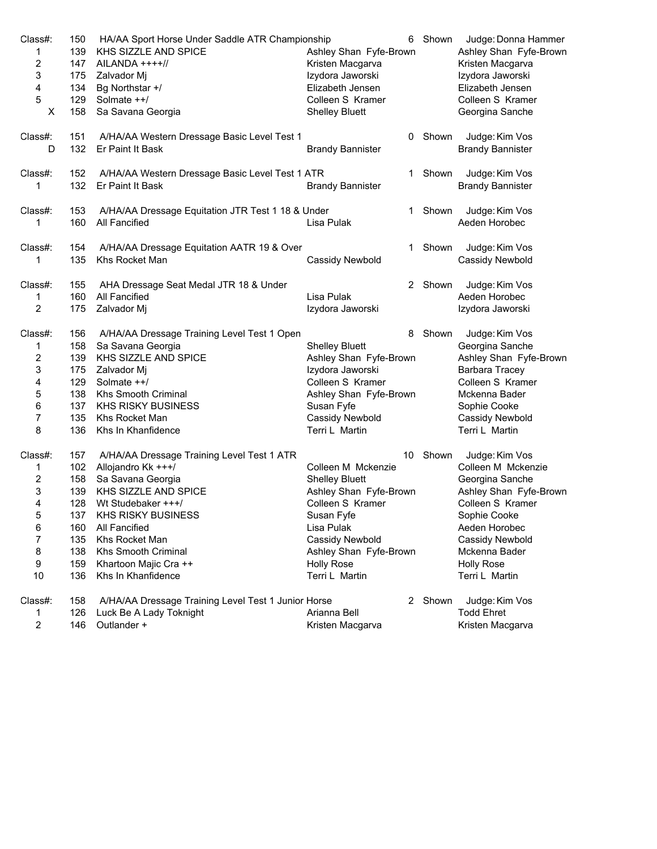| Class#:                 | 150 | HA/AA Sport Horse Under Saddle ATR Championship     | 6                       | Shown   | Judge: Donna Hammer     |
|-------------------------|-----|-----------------------------------------------------|-------------------------|---------|-------------------------|
| 1                       | 139 | KHS SIZZLE AND SPICE                                | Ashley Shan Fyfe-Brown  |         | Ashley Shan Fyfe-Brown  |
| $\overline{\mathbf{c}}$ | 147 | $AILANDA$ ++++//                                    | Kristen Macgarva        |         | Kristen Macgarva        |
| 3                       | 175 | Zalvador Mj                                         | Izydora Jaworski        |         | Izydora Jaworski        |
| 4                       | 134 | Bg Northstar +/                                     | Elizabeth Jensen        |         | Elizabeth Jensen        |
| 5                       | 129 | Solmate ++/                                         | Colleen S Kramer        |         | Colleen S Kramer        |
| X                       | 158 | Sa Savana Georgia                                   | <b>Shelley Bluett</b>   |         | Georgina Sanche         |
| Class#:                 | 151 | A/HA/AA Western Dressage Basic Level Test 1         |                         | 0 Shown | Judge: Kim Vos          |
| D                       | 132 | Er Paint It Bask                                    | <b>Brandy Bannister</b> |         | <b>Brandy Bannister</b> |
| Class#:                 | 152 | A/HA/AA Western Dressage Basic Level Test 1 ATR     | 1                       | Shown   | Judge: Kim Vos          |
| 1                       | 132 | Er Paint It Bask                                    | <b>Brandy Bannister</b> |         | <b>Brandy Bannister</b> |
| Class#:                 | 153 | A/HA/AA Dressage Equitation JTR Test 1 18 & Under   | 1                       | Shown   | Judge: Kim Vos          |
| 1                       | 160 | All Fancified                                       | Lisa Pulak              |         | Aeden Horobec           |
| Class#:                 | 154 | A/HA/AA Dressage Equitation AATR 19 & Over          | 1.                      | Shown   | Judge: Kim Vos          |
| 1                       | 135 | Khs Rocket Man                                      | Cassidy Newbold         |         | Cassidy Newbold         |
| Class#:                 | 155 | AHA Dressage Seat Medal JTR 18 & Under              | 2                       | Shown   | Judge: Kim Vos          |
| 1                       | 160 | All Fancified                                       | Lisa Pulak              |         | Aeden Horobec           |
| 2                       | 175 | Zalvador Mj                                         | Izydora Jaworski        |         | Izydora Jaworski        |
| Class#:                 | 156 | A/HA/AA Dressage Training Level Test 1 Open         | 8                       | Shown   | Judge: Kim Vos          |
| 1                       | 158 | Sa Savana Georgia                                   | <b>Shelley Bluett</b>   |         | Georgina Sanche         |
| 2                       | 139 | KHS SIZZLE AND SPICE                                | Ashley Shan Fyfe-Brown  |         | Ashley Shan Fyfe-Brown  |
| 3                       | 175 | Zalvador Mj                                         | Izydora Jaworski        |         | Barbara Tracey          |
| 4                       | 129 | Solmate ++/                                         | Colleen S Kramer        |         | Colleen S Kramer        |
| 5                       | 138 | Khs Smooth Criminal                                 | Ashley Shan Fyfe-Brown  |         | Mckenna Bader           |
| 6                       | 137 | <b>KHS RISKY BUSINESS</b>                           | Susan Fyfe              |         | Sophie Cooke            |
| 7                       | 135 | Khs Rocket Man                                      | Cassidy Newbold         |         | Cassidy Newbold         |
| 8                       | 136 | Khs In Khanfidence                                  | Terri L Martin          |         | Terri L Martin          |
| Class#:                 | 157 | A/HA/AA Dressage Training Level Test 1 ATR          | 10                      | Shown   | Judge: Kim Vos          |
| 1                       | 102 | Allojandro Kk +++/                                  | Colleen M Mckenzie      |         | Colleen M Mckenzie      |
| 2                       | 158 | Sa Savana Georgia                                   | <b>Shelley Bluett</b>   |         | Georgina Sanche         |
| 3                       | 139 | KHS SIZZLE AND SPICE                                | Ashley Shan Fyfe-Brown  |         | Ashley Shan Fyfe-Brown  |
| 4                       | 128 | Wt Studebaker +++/                                  | Colleen S Kramer        |         | Colleen S Kramer        |
| 5                       | 137 | <b>KHS RISKY BUSINESS</b>                           | Susan Fyfe              |         | Sophie Cooke            |
| 6                       | 160 | All Fancified                                       | Lisa Pulak              |         | Aeden Horobec           |
| 7                       | 135 | Khs Rocket Man                                      | Cassidy Newbold         |         | Cassidy Newbold         |
| 8                       | 138 | Khs Smooth Criminal                                 | Ashley Shan Fyfe-Brown  |         | Mckenna Bader           |
| 9                       | 159 | Khartoon Majic Cra ++                               | <b>Holly Rose</b>       |         | <b>Holly Rose</b>       |
| 10                      | 136 | Khs In Khanfidence                                  | Terri L Martin          |         | Terri L Martin          |
| Class#:                 | 158 | A/HA/AA Dressage Training Level Test 1 Junior Horse |                         | 2 Shown | Judge: Kim Vos          |
| 1                       | 126 | Luck Be A Lady Toknight                             | Arianna Bell            |         | <b>Todd Ehret</b>       |
| 2                       | 146 | Outlander +                                         | Kristen Macgarva        |         | Kristen Macgarva        |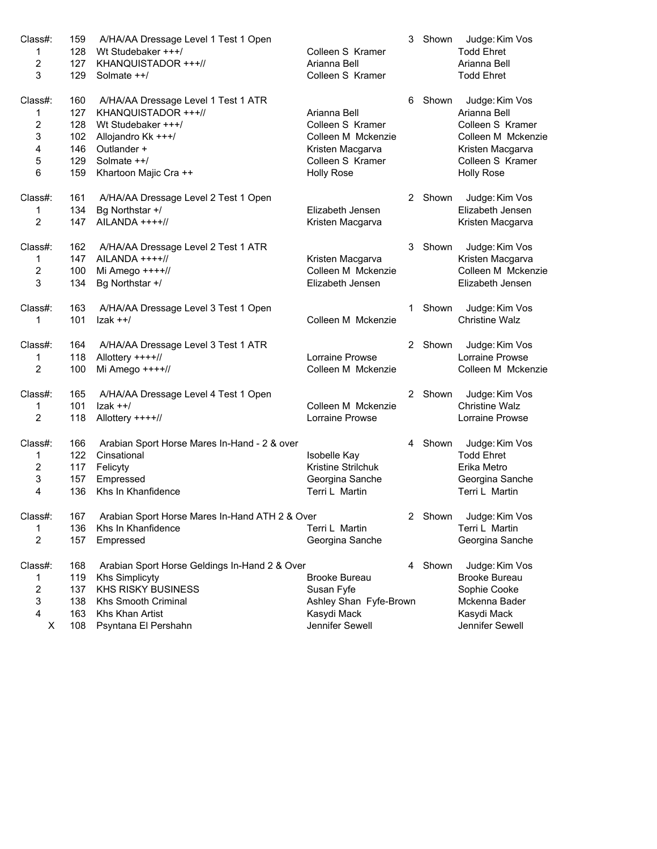| Class#:        | 159 | A/HA/AA Dressage Level 1 Test 1 Open           |                        | 3 | Shown   | Judge: Kim Vos         |
|----------------|-----|------------------------------------------------|------------------------|---|---------|------------------------|
| 1              | 128 | Wt Studebaker +++/                             | Colleen S Kramer       |   |         | <b>Todd Ehret</b>      |
| 2              | 127 | KHANQUISTADOR +++//                            | Arianna Bell           |   |         | Arianna Bell           |
| 3              | 129 | Solmate ++/                                    | Colleen S Kramer       |   |         | <b>Todd Ehret</b>      |
| Class#:        | 160 | A/HA/AA Dressage Level 1 Test 1 ATR            |                        | 6 | Shown   | Judge: Kim Vos         |
| 1              | 127 | KHANQUISTADOR +++//                            | Arianna Bell           |   |         | Arianna Bell           |
| $\sqrt{2}$     | 128 | Wt Studebaker +++/                             | Colleen S Kramer       |   |         | Colleen S Kramer       |
| 3              | 102 | Allojandro Kk +++/                             | Colleen M Mckenzie     |   |         | Colleen M Mckenzie     |
| 4              | 146 | Outlander +                                    | Kristen Macgarva       |   |         | Kristen Macgarva       |
| 5              | 129 | Solmate ++/                                    | Colleen S Kramer       |   |         | Colleen S Kramer       |
| 6              | 159 | Khartoon Majic Cra ++                          | <b>Holly Rose</b>      |   |         | <b>Holly Rose</b>      |
| Class#:        | 161 | A/HA/AA Dressage Level 2 Test 1 Open           |                        |   | 2 Shown | Judge: Kim Vos         |
| 1              | 134 | Bg Northstar +/                                | Elizabeth Jensen       |   |         | Elizabeth Jensen       |
| 2              | 147 | AILANDA ++++//                                 | Kristen Macgarva       |   |         | Kristen Macgarva       |
| Class#:        | 162 | A/HA/AA Dressage Level 2 Test 1 ATR            |                        |   | 3 Shown | Judge: Kim Vos         |
| 1              | 147 | AILANDA ++++//                                 | Kristen Macgarva       |   |         | Kristen Macgarva       |
| $\overline{c}$ | 100 | Mi Amego $+++/$                                | Colleen M Mckenzie     |   |         | Colleen M Mckenzie     |
| 3              | 134 | Bg Northstar +/                                | Elizabeth Jensen       |   |         | Elizabeth Jensen       |
| Class#:        | 163 | A/HA/AA Dressage Level 3 Test 1 Open           |                        | 1 | Shown   | Judge: Kim Vos         |
| 1              | 101 | $lzak + +/$                                    | Colleen M Mckenzie     |   |         | <b>Christine Walz</b>  |
| Class#:        | 164 | A/HA/AA Dressage Level 3 Test 1 ATR            |                        |   | 2 Shown | Judge: Kim Vos         |
| 1              | 118 | Allottery ++++//                               | Lorraine Prowse        |   |         | Lorraine Prowse        |
| 2              | 100 | Mi Amego ++++//                                | Colleen M Mckenzie     |   |         | Colleen M Mckenzie     |
| Class#:        | 165 | A/HA/AA Dressage Level 4 Test 1 Open           |                        |   | 2 Shown | Judge: Kim Vos         |
| 1              | 101 | $ zak + +/$                                    | Colleen M Mckenzie     |   |         | <b>Christine Walz</b>  |
| 2              | 118 | Allottery ++++//                               | Lorraine Prowse        |   |         | Lorraine Prowse        |
| Class#:        | 166 | Arabian Sport Horse Mares In-Hand - 2 & over   |                        |   | 4 Shown | Judge: Kim Vos         |
| 1              | 122 | Cinsational                                    | Isobelle Kay           |   |         | <b>Todd Ehret</b>      |
| 2              | 117 | Felicyty                                       | Kristine Strilchuk     |   |         | Erika Metro            |
| 3              | 157 | Empressed                                      | Georgina Sanche        |   |         | Georgina Sanche        |
| 4              | 136 | Khs In Khanfidence                             | Terri L Martin         |   |         | Terri L Martin         |
| Class#:        | 167 | Arabian Sport Horse Mares In-Hand ATH 2 & Over |                        |   |         | 2 Shown Judge: Kim Vos |
| 1              | 136 | Khs In Khanfidence                             | Terri L Martin         |   |         | Terri L Martin         |
| $\overline{c}$ | 157 | Empressed                                      | Georgina Sanche        |   |         | Georgina Sanche        |
| Class#:        | 168 | Arabian Sport Horse Geldings In-Hand 2 & Over  |                        |   | 4 Shown | Judge: Kim Vos         |
| 1              | 119 | <b>Khs Simplicyty</b>                          | <b>Brooke Bureau</b>   |   |         | <b>Brooke Bureau</b>   |
| 2              | 137 | <b>KHS RISKY BUSINESS</b>                      | Susan Fyfe             |   |         | Sophie Cooke           |
| 3              | 138 | Khs Smooth Criminal                            | Ashley Shan Fyfe-Brown |   |         | Mckenna Bader          |
| 4              | 163 | Khs Khan Artist                                | Kasydi Mack            |   |         | Kasydi Mack            |
| х              | 108 | Psyntana El Pershahn                           | Jennifer Sewell        |   |         | Jennifer Sewell        |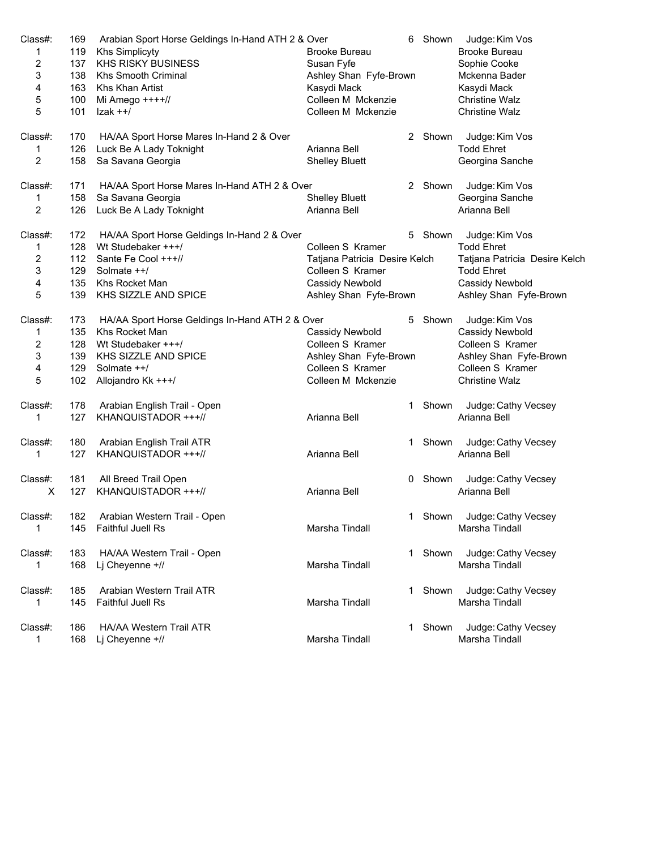| Class#: | 169 | Arabian Sport Horse Geldings In-Hand ATH 2 & Over | 6                             | Shown       | Judge: Kim Vos                |
|---------|-----|---------------------------------------------------|-------------------------------|-------------|-------------------------------|
| 1       | 119 | <b>Khs Simplicyty</b>                             | <b>Brooke Bureau</b>          |             | <b>Brooke Bureau</b>          |
| 2       | 137 | <b>KHS RISKY BUSINESS</b>                         | Susan Fyfe                    |             | Sophie Cooke                  |
| 3       | 138 | Khs Smooth Criminal                               | Ashley Shan Fyfe-Brown        |             | Mckenna Bader                 |
| 4       | 163 | Khs Khan Artist                                   | Kasydi Mack                   |             | Kasydi Mack                   |
| 5       | 100 | Mi Amego ++++//                                   | Colleen M Mckenzie            |             | <b>Christine Walz</b>         |
| 5       | 101 | $lzak + +/$                                       | Colleen M Mckenzie            |             | <b>Christine Walz</b>         |
| Class#: | 170 | HA/AA Sport Horse Mares In-Hand 2 & Over          |                               | 2 Shown     | Judge: Kim Vos                |
| 1       | 126 | Luck Be A Lady Toknight                           | Arianna Bell                  |             | <b>Todd Ehret</b>             |
| 2       | 158 | Sa Savana Georgia                                 | <b>Shelley Bluett</b>         |             | Georgina Sanche               |
| Class#: | 171 | HA/AA Sport Horse Mares In-Hand ATH 2 & Over      |                               | 2 Shown     | Judge: Kim Vos                |
| 1       | 158 | Sa Savana Georgia                                 | <b>Shelley Bluett</b>         |             | Georgina Sanche               |
| 2       | 126 | Luck Be A Lady Toknight                           | Arianna Bell                  |             | Arianna Bell                  |
| Class#: | 172 | HA/AA Sport Horse Geldings In-Hand 2 & Over       |                               | 5.<br>Shown | Judge: Kim Vos                |
| 1       | 128 | Wt Studebaker +++/                                | Colleen S Kramer              |             | <b>Todd Ehret</b>             |
| 2       | 112 | Sante Fe Cool +++//                               | Tatjana Patricia Desire Kelch |             | Tatjana Patricia Desire Kelch |
| 3       | 129 | Solmate ++/                                       | Colleen S Kramer              |             | <b>Todd Ehret</b>             |
| 4       | 135 | Khs Rocket Man                                    | Cassidy Newbold               |             | <b>Cassidy Newbold</b>        |
| 5       | 139 | KHS SIZZLE AND SPICE                              | Ashley Shan Fyfe-Brown        |             | Ashley Shan Fyfe-Brown        |
| Class#: | 173 | HA/AA Sport Horse Geldings In-Hand ATH 2 & Over   | 5                             | Shown       | Judge: Kim Vos                |
| 1       | 135 | Khs Rocket Man                                    | Cassidy Newbold               |             | Cassidy Newbold               |
| 2       | 128 | Wt Studebaker +++/                                | Colleen S Kramer              |             | Colleen S Kramer              |
| 3       | 139 | KHS SIZZLE AND SPICE                              | Ashley Shan Fyfe-Brown        |             | Ashley Shan Fyfe-Brown        |
| 4       | 129 | Solmate ++/                                       | Colleen S Kramer              |             | Colleen S Kramer              |
| 5       | 102 | Allojandro Kk +++/                                | Colleen M Mckenzie            |             | <b>Christine Walz</b>         |
| Class#: | 178 | Arabian English Trail - Open                      |                               | 1 Shown     | Judge: Cathy Vecsey           |
| 1       | 127 | KHANQUISTADOR +++//                               | Arianna Bell                  |             | Arianna Bell                  |
| Class#: | 180 | Arabian English Trail ATR                         |                               | Shown<br>1  | Judge: Cathy Vecsey           |
| 1       | 127 | KHANQUISTADOR +++//                               | Arianna Bell                  |             | Arianna Bell                  |
| Class#: | 181 | All Breed Trail Open                              | 0                             | Shown       | Judge: Cathy Vecsey           |
| X       | 127 | KHANQUISTADOR +++//                               | Arianna Bell                  |             | Arianna Bell                  |
| Class#: | 182 | Arabian Western Trail - Open                      |                               |             | Shown Judge: Cathy Vecsey     |
| 1       | 145 | Faithful Juell Rs                                 | Marsha Tindall                |             | Marsha Tindall                |
| Class#: | 183 | HA/AA Western Trail - Open                        |                               | 1 Shown     | Judge: Cathy Vecsey           |
| 1       | 168 | Lj Cheyenne +//                                   | Marsha Tindall                |             | Marsha Tindall                |
| Class#: | 185 | Arabian Western Trail ATR                         |                               | Shown<br>1  | Judge: Cathy Vecsey           |
| 1       | 145 | <b>Faithful Juell Rs</b>                          | Marsha Tindall                |             | Marsha Tindall                |
| Class#: | 186 | <b>HA/AA Western Trail ATR</b>                    |                               | Shown<br>1  | Judge: Cathy Vecsey           |
| 1       | 168 | Lj Cheyenne +//                                   | Marsha Tindall                |             | Marsha Tindall                |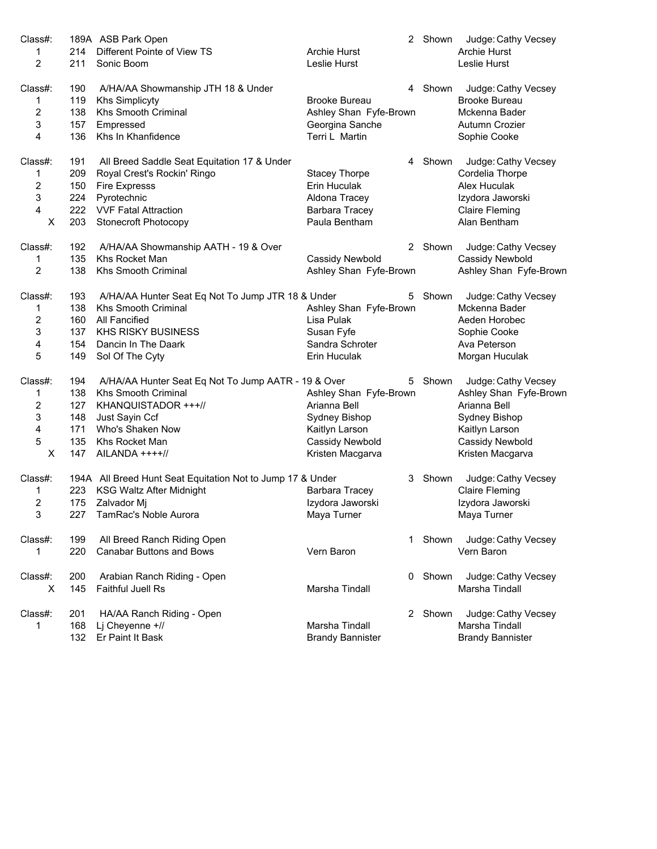| Class#:                 |     | 189A ASB Park Open                                         |                         | 2 Shown | Judge: Cathy Vecsey     |
|-------------------------|-----|------------------------------------------------------------|-------------------------|---------|-------------------------|
| 1                       | 214 | Different Pointe of View TS                                | <b>Archie Hurst</b>     |         | Archie Hurst            |
| 2                       | 211 | Sonic Boom                                                 | Leslie Hurst            |         | Leslie Hurst            |
| Class#:                 | 190 | A/HA/AA Showmanship JTH 18 & Under                         |                         | 4 Shown | Judge: Cathy Vecsey     |
| 1                       | 119 | <b>Khs Simplicyty</b>                                      | <b>Brooke Bureau</b>    |         | <b>Brooke Bureau</b>    |
| $\overline{2}$          | 138 | Khs Smooth Criminal                                        | Ashley Shan Fyfe-Brown  |         | Mckenna Bader           |
| 3                       | 157 | Empressed                                                  | Georgina Sanche         |         | Autumn Crozier          |
| $\overline{4}$          | 136 | Khs In Khanfidence                                         | Terri L Martin          |         | Sophie Cooke            |
| Class#:                 | 191 | All Breed Saddle Seat Equitation 17 & Under                |                         | 4 Shown | Judge: Cathy Vecsey     |
| 1                       | 209 | Royal Crest's Rockin' Ringo                                | <b>Stacey Thorpe</b>    |         | Cordelia Thorpe         |
| $\overline{\mathbf{c}}$ | 150 | <b>Fire Expresss</b>                                       | Erin Huculak            |         | Alex Huculak            |
| 3                       | 224 | Pyrotechnic                                                | Aldona Tracey           |         | Izydora Jaworski        |
| 4                       | 222 | <b>VVF Fatal Attraction</b>                                | Barbara Tracey          |         | <b>Claire Fleming</b>   |
| X                       | 203 | <b>Stonecroft Photocopy</b>                                | Paula Bentham           |         | Alan Bentham            |
| Class#:                 | 192 | A/HA/AA Showmanship AATH - 19 & Over                       |                         | 2 Shown | Judge: Cathy Vecsey     |
| 1                       | 135 | Khs Rocket Man                                             | Cassidy Newbold         |         | Cassidy Newbold         |
| $\overline{2}$          | 138 | <b>Khs Smooth Criminal</b>                                 | Ashley Shan Fyfe-Brown  |         | Ashley Shan Fyfe-Brown  |
| Class#:                 | 193 | A/HA/AA Hunter Seat Eq Not To Jump JTR 18 & Under          | 5                       | Shown   | Judge: Cathy Vecsey     |
| 1                       | 138 | Khs Smooth Criminal                                        | Ashley Shan Fyfe-Brown  |         | Mckenna Bader           |
| 2                       | 160 | All Fancified                                              | Lisa Pulak              |         | Aeden Horobec           |
| 3                       | 137 | <b>KHS RISKY BUSINESS</b>                                  | Susan Fyfe              |         | Sophie Cooke            |
| 4                       | 154 | Dancin In The Daark                                        | Sandra Schroter         |         | Ava Peterson            |
| 5                       | 149 | Sol Of The Cyty                                            | Erin Huculak            |         | Morgan Huculak          |
| Class#:                 | 194 | A/HA/AA Hunter Seat Eq Not To Jump AATR - 19 & Over        | 5                       | Shown   | Judge: Cathy Vecsey     |
| 1                       | 138 | <b>Khs Smooth Criminal</b>                                 | Ashley Shan Fyfe-Brown  |         | Ashley Shan Fyfe-Brown  |
| $\overline{c}$          | 127 | KHANQUISTADOR +++//                                        | Arianna Bell            |         | Arianna Bell            |
| 3                       | 148 | Just Sayin Ccf                                             | Sydney Bishop           |         | Sydney Bishop           |
| 4                       | 171 | Who's Shaken Now                                           | Kaitlyn Larson          |         | Kaitlyn Larson          |
| 5                       | 135 | Khs Rocket Man                                             | Cassidy Newbold         |         | Cassidy Newbold         |
| X                       | 147 | AILANDA ++++//                                             | Kristen Macgarva        |         | Kristen Macgarva        |
| Class#:                 |     | 194A All Breed Hunt Seat Equitation Not to Jump 17 & Under |                         | 3 Shown | Judge: Cathy Vecsey     |
| 1                       | 223 | <b>KSG Waltz After Midnight</b>                            | Barbara Tracey          |         | <b>Claire Fleming</b>   |
| $\boldsymbol{2}$        | 175 | Zalvador Mj                                                | Izydora Jaworski        |         | Izydora Jaworski        |
| 3                       |     | 227 TamRac's Noble Aurora                                  | Maya Turner             |         | Maya Turner             |
| Class#:                 | 199 | All Breed Ranch Riding Open                                | 1.                      | Shown   | Judge: Cathy Vecsey     |
| 1                       | 220 | <b>Canabar Buttons and Bows</b>                            | Vern Baron              |         | Vern Baron              |
| Class#:                 | 200 | Arabian Ranch Riding - Open                                |                         | 0 Shown | Judge: Cathy Vecsey     |
| X                       | 145 | Faithful Juell Rs                                          | Marsha Tindall          |         | Marsha Tindall          |
| Class#:                 | 201 | HA/AA Ranch Riding - Open                                  |                         | 2 Shown | Judge: Cathy Vecsey     |
| 1                       | 168 | Lj Cheyenne +//                                            | Marsha Tindall          |         | Marsha Tindall          |
|                         | 132 | Er Paint It Bask                                           | <b>Brandy Bannister</b> |         | <b>Brandy Bannister</b> |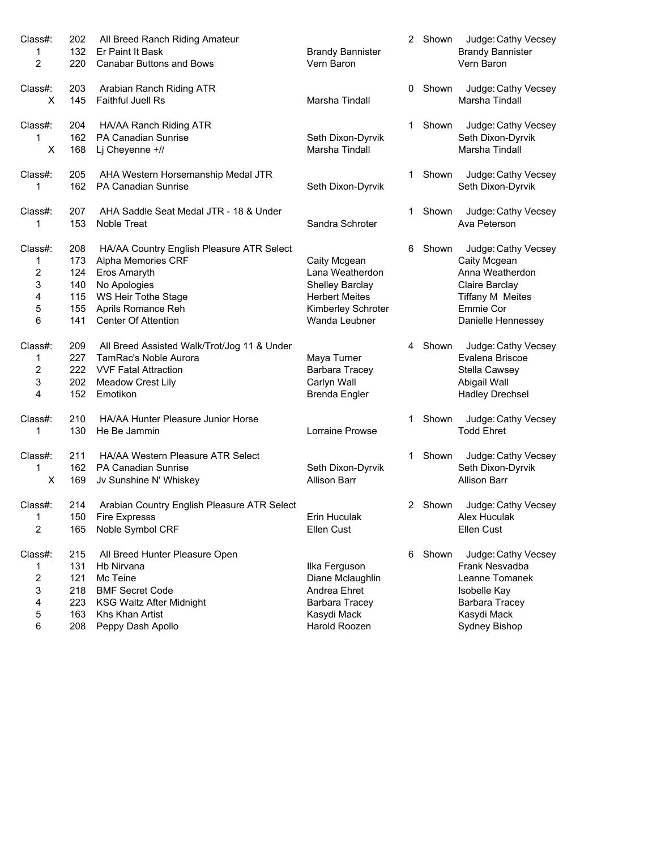| Class#:        | 202        | All Breed Ranch Riding Amateur                       |                                          |    | 2 Shown | Judge: Cathy Vecsey                      |
|----------------|------------|------------------------------------------------------|------------------------------------------|----|---------|------------------------------------------|
| 1              | 132        | Er Paint It Bask                                     | <b>Brandy Bannister</b>                  |    |         | <b>Brandy Bannister</b>                  |
| $\overline{2}$ | 220        | <b>Canabar Buttons and Bows</b>                      | Vern Baron                               |    |         | Vern Baron                               |
| Class#:        | 203        | Arabian Ranch Riding ATR                             |                                          |    | 0 Shown | Judge: Cathy Vecsey                      |
| X              | 145        | <b>Faithful Juell Rs</b>                             | Marsha Tindall                           |    |         | Marsha Tindall                           |
| Class#:        | 204        | HA/AA Ranch Riding ATR                               |                                          | 1. | Shown   | Judge: Cathy Vecsey                      |
| 1<br>X         | 162<br>168 | <b>PA Canadian Sunrise</b><br>Lj Cheyenne +//        | Seth Dixon-Dyrvik<br>Marsha Tindall      |    |         | Seth Dixon-Dyrvik<br>Marsha Tindall      |
| Class#:        | 205        | AHA Western Horsemanship Medal JTR                   |                                          | 1. | Shown   | Judge: Cathy Vecsey                      |
| 1              | 162        | PA Canadian Sunrise                                  | Seth Dixon-Dyrvik                        |    |         | Seth Dixon-Dyrvik                        |
| Class#:        | 207        | AHA Saddle Seat Medal JTR - 18 & Under               |                                          | 1. | Shown   | Judge: Cathy Vecsey                      |
| 1              | 153        | Noble Treat                                          | Sandra Schroter                          |    |         | Ava Peterson                             |
| Class#:        | 208        | HA/AA Country English Pleasure ATR Select            |                                          | 6. | Shown   | Judge: Cathy Vecsey                      |
| 1              | 173        | Alpha Memories CRF                                   | Caity Mcgean                             |    |         | Caity Mcgean                             |
| $\overline{c}$ | 124        | Eros Amaryth                                         | Lana Weatherdon                          |    |         | Anna Weatherdon                          |
| 3              | 140        | No Apologies                                         | <b>Shelley Barclay</b>                   |    |         | Claire Barclay                           |
| 4              | 115        | WS Heir Tothe Stage                                  | <b>Herbert Meites</b>                    |    |         | <b>Tiffany M Meites</b>                  |
| 5              | 155        | Aprils Romance Reh                                   | Kimberley Schroter                       |    |         | <b>Emmie Cor</b>                         |
| 6              | 141        | <b>Center Of Attention</b>                           | Wanda Leubner                            |    |         | Danielle Hennessey                       |
| Class#:        | 209        | All Breed Assisted Walk/Trot/Jog 11 & Under          |                                          |    | 4 Shown | Judge: Cathy Vecsey                      |
| 1              | 227        | TamRac's Noble Aurora                                | Maya Turner                              |    |         | Evalena Briscoe                          |
| 2              | 222        | <b>VVF Fatal Attraction</b>                          | Barbara Tracey                           |    |         | Stella Cawsey                            |
| 3              | 202        | Meadow Crest Lily                                    | Carlyn Wall                              |    |         | Abigail Wall                             |
| 4              | 152        | Emotikon                                             | <b>Brenda Engler</b>                     |    |         | <b>Hadley Drechsel</b>                   |
| Class#:        | 210        | HA/AA Hunter Pleasure Junior Horse                   |                                          | 1. | Shown   | Judge: Cathy Vecsey                      |
| 1              | 130        | He Be Jammin                                         | Lorraine Prowse                          |    |         | <b>Todd Ehret</b>                        |
| Class#:        | 211        | HA/AA Western Pleasure ATR Select                    |                                          | 1. | Shown   | Judge: Cathy Vecsey                      |
| 1<br>X         | 162<br>169 | <b>PA Canadian Sunrise</b><br>Jv Sunshine N' Whiskey | Seth Dixon-Dyrvik<br><b>Allison Barr</b> |    |         | Seth Dixon-Dyrvik<br><b>Allison Barr</b> |
| Class#:        | 214        | Arabian Country English Pleasure ATR Select          |                                          |    | 2 Shown | Judge: Cathy Vecsey                      |
| 1              |            | 150 Fire Expresss                                    | Erin Huculak                             |    |         | Alex Huculak                             |
| 2              | 165        | Noble Symbol CRF                                     | Ellen Cust                               |    |         | Ellen Cust                               |
| Class#:        | 215        | All Breed Hunter Pleasure Open                       |                                          | 6. | Shown   | Judge: Cathy Vecsey                      |
| 1              | 131        | Hb Nirvana                                           | Ilka Ferguson                            |    |         | Frank Nesvadba                           |
| 2              | 121        | Mc Teine                                             | Diane Mclaughlin                         |    |         | Leanne Tomanek                           |
| 3              | 218        | <b>BMF Secret Code</b>                               | Andrea Ehret                             |    |         | Isobelle Kay                             |
| 4              | 223        | <b>KSG Waltz After Midnight</b>                      | <b>Barbara Tracey</b>                    |    |         | <b>Barbara Tracey</b>                    |
| 5              | 163        | Khs Khan Artist                                      | Kasydi Mack                              |    |         | Kasydi Mack                              |
|                |            |                                                      | Harold Roozen                            |    |         |                                          |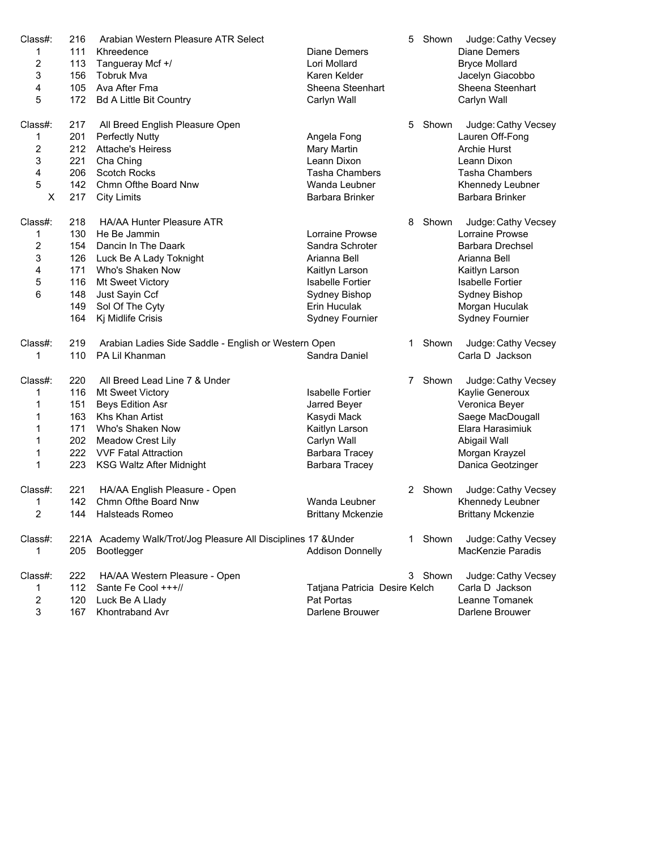| Class#:        | 216        | Arabian Western Pleasure ATR Select                                          |                                                | 5  | Shown   | Judge: Cathy Vecsey                          |
|----------------|------------|------------------------------------------------------------------------------|------------------------------------------------|----|---------|----------------------------------------------|
| 1              | 111        | Khreedence                                                                   | <b>Diane Demers</b>                            |    |         | <b>Diane Demers</b>                          |
| $\overline{2}$ | 113        | Tangueray Mcf +/                                                             | Lori Mollard                                   |    |         | <b>Bryce Mollard</b>                         |
| 3              | 156        | <b>Tobruk Mva</b>                                                            | Karen Kelder                                   |    |         | Jacelyn Giacobbo                             |
| 4              | 105        | Ava After Fma                                                                | Sheena Steenhart                               |    |         | Sheena Steenhart                             |
| 5              | 172        | <b>Bd A Little Bit Country</b>                                               | Carlyn Wall                                    |    |         | Carlyn Wall                                  |
| Class#:        | 217        | All Breed English Pleasure Open                                              |                                                |    | 5 Shown | Judge: Cathy Vecsey                          |
| 1              | 201        | <b>Perfectly Nutty</b>                                                       | Angela Fong                                    |    |         | Lauren Off-Fong                              |
| 2              | 212        | <b>Attache's Heiress</b>                                                     | Mary Martin                                    |    |         | <b>Archie Hurst</b>                          |
| 3              | 221        | Cha Ching                                                                    | Leann Dixon                                    |    |         | Leann Dixon                                  |
| 4              | 206        | Scotch Rocks                                                                 | <b>Tasha Chambers</b>                          |    |         | <b>Tasha Chambers</b>                        |
| 5              | 142        | Chmn Ofthe Board Nnw                                                         | Wanda Leubner                                  |    |         | Khennedy Leubner                             |
| Χ              | 217        | <b>City Limits</b>                                                           | Barbara Brinker                                |    |         | Barbara Brinker                              |
| Class#:        | 218        | <b>HA/AA Hunter Pleasure ATR</b>                                             |                                                | 8  | Shown   | Judge: Cathy Vecsey                          |
| 1              | 130        | He Be Jammin                                                                 | Lorraine Prowse                                |    |         | Lorraine Prowse                              |
| 2              | 154        | Dancin In The Daark                                                          | Sandra Schroter                                |    |         | Barbara Drechsel                             |
| 3              | 126        | Luck Be A Lady Toknight                                                      | Arianna Bell                                   |    |         | Arianna Bell                                 |
| 4              | 171        | Who's Shaken Now                                                             | Kaitlyn Larson                                 |    |         | Kaitlyn Larson                               |
| 5              | 116        | Mt Sweet Victory                                                             | <b>Isabelle Fortier</b>                        |    |         | <b>Isabelle Fortier</b>                      |
| 6              | 148        | Just Sayin Ccf                                                               | Sydney Bishop                                  |    |         | Sydney Bishop                                |
|                | 149        | Sol Of The Cyty                                                              | Erin Huculak                                   |    |         | Morgan Huculak                               |
|                | 164        | Kj Midlife Crisis                                                            | <b>Sydney Fournier</b>                         |    |         | <b>Sydney Fournier</b>                       |
| Class#:        | 219        | Arabian Ladies Side Saddle - English or Western Open                         |                                                | 1. | Shown   | Judge: Cathy Vecsey                          |
| 1              | 110        | PA Lil Khanman                                                               | Sandra Daniel                                  |    |         | Carla D Jackson                              |
|                |            |                                                                              |                                                |    |         |                                              |
|                |            |                                                                              |                                                | 7  |         |                                              |
| Class#:        | 220        | All Breed Lead Line 7 & Under                                                |                                                |    | Shown   | Judge: Cathy Vecsey                          |
| 1              | 116        | Mt Sweet Victory                                                             | Isabelle Fortier                               |    |         | Kaylie Generoux                              |
| 1              | 151        | <b>Beys Edition Asr</b>                                                      | Jarred Beyer                                   |    |         | Veronica Beyer                               |
| 1              | 163        | Khs Khan Artist                                                              | Kasydi Mack                                    |    |         | Saege MacDougall                             |
| 1              | 171        | Who's Shaken Now                                                             | Kaitlyn Larson                                 |    |         | Elara Harasimiuk                             |
| 1              | 202        | Meadow Crest Lily                                                            | Carlyn Wall                                    |    |         | Abigail Wall                                 |
| 1<br>1         | 223        | 222 VVF Fatal Attraction<br><b>KSG Waltz After Midnight</b>                  | <b>Barbara Tracey</b><br><b>Barbara Tracey</b> |    |         | Morgan Krayzel<br>Danica Geotzinger          |
|                |            |                                                                              |                                                |    |         |                                              |
| Class#:        | 221        | HA/AA English Pleasure - Open                                                |                                                |    | 2 Shown | Judge: Cathy Vecsey                          |
| 1<br>2         | 142<br>144 | Chmn Ofthe Board Nnw<br>Halsteads Romeo                                      | Wanda Leubner<br><b>Brittany Mckenzie</b>      |    |         | Khennedy Leubner<br><b>Brittany Mckenzie</b> |
| Class#:        |            |                                                                              |                                                |    | 1 Shown |                                              |
| 1              | 205        | 221A Academy Walk/Trot/Jog Pleasure All Disciplines 17 & Under<br>Bootlegger | <b>Addison Donnelly</b>                        |    |         | Judge: Cathy Vecsey<br>MacKenzie Paradis     |
| Class#:        | 222        | HA/AA Western Pleasure - Open                                                |                                                |    | 3 Shown | Judge: Cathy Vecsey                          |
| 1              | 112        | Sante Fe Cool +++//                                                          | Tatjana Patricia Desire Kelch                  |    |         | Carla D Jackson                              |
| 2              | 120        | Luck Be A Llady                                                              | Pat Portas                                     |    |         | Leanne Tomanek                               |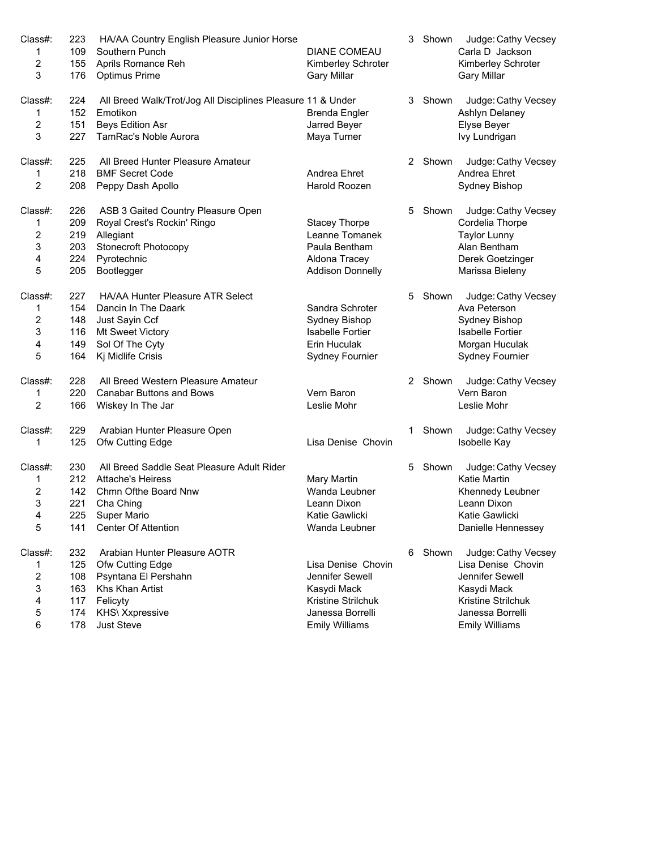| Class#:          | 223 | HA/AA Country English Pleasure Junior Horse                 |                         | 3  | Shown   | Judge: Cathy Vecsey     |
|------------------|-----|-------------------------------------------------------------|-------------------------|----|---------|-------------------------|
| $\mathbf{1}$     | 109 | Southern Punch                                              | <b>DIANE COMEAU</b>     |    |         | Carla D Jackson         |
| 2                | 155 | Aprils Romance Reh                                          | Kimberley Schroter      |    |         | Kimberley Schroter      |
| 3                | 176 | <b>Optimus Prime</b>                                        | <b>Gary Millar</b>      |    |         | <b>Gary Millar</b>      |
| Class#:          | 224 | All Breed Walk/Trot/Jog All Disciplines Pleasure 11 & Under |                         |    | 3 Shown | Judge: Cathy Vecsey     |
| 1                | 152 | Emotikon                                                    | <b>Brenda Engler</b>    |    |         | Ashlyn Delaney          |
| $\boldsymbol{2}$ | 151 | Beys Edition Asr                                            | Jarred Beyer            |    |         | Elyse Beyer             |
| 3                | 227 | TamRac's Noble Aurora                                       | Maya Turner             |    |         | Ivy Lundrigan           |
| Class#:          | 225 | All Breed Hunter Pleasure Amateur                           |                         |    | 2 Shown | Judge: Cathy Vecsey     |
| 1                | 218 | <b>BMF Secret Code</b>                                      | Andrea Ehret            |    |         | Andrea Ehret            |
| $\overline{2}$   | 208 | Peppy Dash Apollo                                           | Harold Roozen           |    |         | Sydney Bishop           |
| Class#:          | 226 | ASB 3 Gaited Country Pleasure Open                          |                         |    | 5 Shown | Judge: Cathy Vecsey     |
| 1                | 209 | Royal Crest's Rockin' Ringo                                 | <b>Stacey Thorpe</b>    |    |         | Cordelia Thorpe         |
| $\overline{c}$   | 219 | Allegiant                                                   | Leanne Tomanek          |    |         | <b>Taylor Lunny</b>     |
| 3                | 203 | Stonecroft Photocopy                                        | Paula Bentham           |    |         | Alan Bentham            |
| 4                | 224 | Pyrotechnic                                                 | Aldona Tracey           |    |         | Derek Goetzinger        |
| 5                | 205 | Bootlegger                                                  | <b>Addison Donnelly</b> |    |         | Marissa Bieleny         |
| Class#:          | 227 | HA/AA Hunter Pleasure ATR Select                            |                         | 5  | Shown   | Judge: Cathy Vecsey     |
| $\mathbf{1}$     | 154 | Dancin In The Daark                                         | Sandra Schroter         |    |         | Ava Peterson            |
| $\overline{c}$   | 148 | Just Sayin Ccf                                              | Sydney Bishop           |    |         | Sydney Bishop           |
| 3                | 116 | Mt Sweet Victory                                            | <b>Isabelle Fortier</b> |    |         | <b>Isabelle Fortier</b> |
| 4                | 149 | Sol Of The Cyty                                             | Erin Huculak            |    |         | Morgan Huculak          |
| 5                | 164 | Kj Midlife Crisis                                           | Sydney Fournier         |    |         | <b>Sydney Fournier</b>  |
| Class#:          | 228 | All Breed Western Pleasure Amateur                          |                         |    | 2 Shown | Judge: Cathy Vecsey     |
| 1                | 220 | <b>Canabar Buttons and Bows</b>                             | Vern Baron              |    |         | Vern Baron              |
| 2                | 166 | Wiskey In The Jar                                           | Leslie Mohr             |    |         | Leslie Mohr             |
| Class#:          | 229 | Arabian Hunter Pleasure Open                                |                         | 1  | Shown   | Judge: Cathy Vecsey     |
| 1                | 125 | Ofw Cutting Edge                                            | Lisa Denise Chovin      |    |         | Isobelle Kay            |
| Class#:          | 230 | All Breed Saddle Seat Pleasure Adult Rider                  |                         | 5. | Shown   | Judge: Cathy Vecsey     |
| 1                | 212 | <b>Attache's Heiress</b>                                    | <b>Mary Martin</b>      |    |         | <b>Katie Martin</b>     |
| $\overline{c}$   | 142 | Chmn Ofthe Board Nnw                                        | Wanda Leubner           |    |         | Khennedy Leubner        |
| 3                | 221 | Cha Ching                                                   | Leann Dixon             |    |         | Leann Dixon             |
| 4                |     | 225 Super Mario                                             | Katie Gawlicki          |    |         | Katie Gawlicki          |
| 5                | 141 | <b>Center Of Attention</b>                                  | Wanda Leubner           |    |         | Danielle Hennessey      |
| Class#:          | 232 | Arabian Hunter Pleasure AOTR                                |                         | 6. | Shown   | Judge: Cathy Vecsey     |
| 1                | 125 | Ofw Cutting Edge                                            | Lisa Denise Chovin      |    |         | Lisa Denise Chovin      |
| 2                | 108 | Psyntana El Pershahn                                        | Jennifer Sewell         |    |         | Jennifer Sewell         |
| 3                | 163 | Khs Khan Artist                                             | Kasydi Mack             |    |         | Kasydi Mack             |
| 4                | 117 | Felicyty                                                    | Kristine Strilchuk      |    |         | Kristine Strilchuk      |
| 5                | 174 | KHS\ Xxpressive                                             | Janessa Borrelli        |    |         | Janessa Borrelli        |
| 6                | 178 | Just Steve                                                  | <b>Emily Williams</b>   |    |         | <b>Emily Williams</b>   |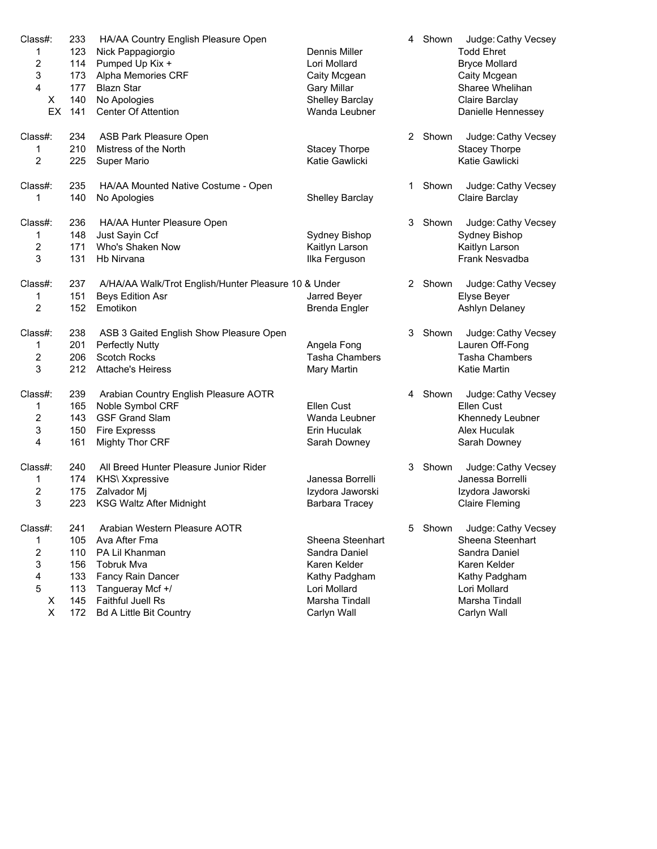| Class#:          | 233 | HA/AA Country English Pleasure Open                  |                        | 4                    | Shown   | Judge: Cathy Vecsey                     |
|------------------|-----|------------------------------------------------------|------------------------|----------------------|---------|-----------------------------------------|
| 1                | 123 | Nick Pappagiorgio                                    | Dennis Miller          |                      |         | <b>Todd Ehret</b>                       |
| $\sqrt{2}$       | 114 | Pumped Up Kix +                                      | Lori Mollard           |                      |         | <b>Bryce Mollard</b>                    |
| 3                | 173 | Alpha Memories CRF                                   | Caity Mcgean           |                      |         | Caity Mcgean                            |
| 4                | 177 | <b>Blazn Star</b>                                    | <b>Gary Millar</b>     |                      |         | Sharee Whelihan                         |
| Χ                | 140 | No Apologies                                         | Shelley Barclay        |                      |         | Claire Barclay                          |
| EX               | 141 | <b>Center Of Attention</b>                           | Wanda Leubner          |                      |         | Danielle Hennessey                      |
|                  |     |                                                      |                        |                      |         |                                         |
| Class#:          | 234 | ASB Park Pleasure Open                               |                        |                      | 2 Shown | Judge: Cathy Vecsey                     |
| 1                | 210 | Mistress of the North                                | <b>Stacey Thorpe</b>   |                      |         | <b>Stacey Thorpe</b>                    |
| 2                | 225 | <b>Super Mario</b>                                   | Katie Gawlicki         |                      |         | Katie Gawlicki                          |
|                  |     |                                                      |                        |                      |         |                                         |
| Class#:          | 235 | HA/AA Mounted Native Costume - Open                  |                        | 1                    | Shown   | Judge: Cathy Vecsey                     |
| 1                | 140 | No Apologies                                         | <b>Shelley Barclay</b> |                      |         | Claire Barclay                          |
|                  |     |                                                      |                        |                      |         |                                         |
| Class#:          | 236 | HA/AA Hunter Pleasure Open                           |                        | 3                    | Shown   | Judge: Cathy Vecsey                     |
| 1                | 148 | Just Sayin Ccf                                       | Sydney Bishop          |                      |         | Sydney Bishop                           |
| $\overline{2}$   | 171 | Who's Shaken Now                                     | Kaitlyn Larson         |                      |         | Kaitlyn Larson                          |
| 3                | 131 | Hb Nirvana                                           |                        |                      |         | Frank Nesvadba                          |
|                  |     |                                                      | Ilka Ferguson          |                      |         |                                         |
| Class#:          | 237 | A/HA/AA Walk/Trot English/Hunter Pleasure 10 & Under |                        | $\mathbf{2}^{\circ}$ | Shown   | Judge: Cathy Vecsey                     |
|                  | 151 |                                                      | Jarred Beyer           |                      |         |                                         |
| 1                |     | Beys Edition Asr                                     |                        |                      |         | Elyse Beyer                             |
| 2                | 152 | Emotikon                                             | <b>Brenda Engler</b>   |                      |         | Ashlyn Delaney                          |
| Class#:          | 238 | ASB 3 Gaited English Show Pleasure Open              |                        | 3                    | Shown   | Judge: Cathy Vecsey                     |
|                  |     |                                                      |                        |                      |         |                                         |
| 1                | 201 | Perfectly Nutty                                      | Angela Fong            |                      |         | Lauren Off-Fong                         |
| $\sqrt{2}$       | 206 | <b>Scotch Rocks</b>                                  | <b>Tasha Chambers</b>  |                      |         | <b>Tasha Chambers</b>                   |
| 3                | 212 | <b>Attache's Heiress</b>                             | Mary Martin            |                      |         | <b>Katie Martin</b>                     |
| Class#:          | 239 |                                                      |                        |                      | 4 Shown | Judge: Cathy Vecsey                     |
|                  |     | Arabian Country English Pleasure AOTR                |                        |                      |         |                                         |
| 1                | 165 | Noble Symbol CRF                                     | <b>Ellen Cust</b>      |                      |         | Ellen Cust                              |
| $\boldsymbol{2}$ | 143 | <b>GSF Grand Slam</b>                                | Wanda Leubner          |                      |         | Khennedy Leubner                        |
| 3                | 150 | <b>Fire Expresss</b>                                 | Erin Huculak           |                      |         | Alex Huculak                            |
| 4                | 161 | <b>Mighty Thor CRF</b>                               | Sarah Downey           |                      |         | Sarah Downey                            |
| Class#:          | 240 | All Breed Hunter Pleasure Junior Rider               |                        | 3                    |         |                                         |
|                  |     |                                                      |                        |                      | Shown   | Judge: Cathy Vecsey                     |
| 1                | 174 | KHS\ Xxpressive                                      | Janessa Borrelli       |                      |         | Janessa Borrelli                        |
| $\boldsymbol{2}$ | 175 | Zalvador Mj                                          | Izydora Jaworski       |                      |         | Izydora Jaworski                        |
| 3                | 223 | <b>KSG Waltz After Midnight</b>                      | Barbara Tracey         |                      |         | <b>Claire Fleming</b>                   |
| Class#:          | 241 | Arabian Western Pleasure AOTR                        |                        |                      | Shown   |                                         |
|                  |     |                                                      |                        | 5                    |         | Judge: Cathy Vecsey<br>Sheena Steenhart |
| 1                | 105 | Ava After Fma                                        | Sheena Steenhart       |                      |         |                                         |
| 2                | 110 | PA Lil Khanman                                       | Sandra Daniel          |                      |         | Sandra Daniel                           |
| 3                | 156 | Tobruk Mva                                           | Karen Kelder           |                      |         | Karen Kelder                            |
| 4                | 133 | Fancy Rain Dancer                                    | Kathy Padgham          |                      |         | Kathy Padgham                           |
| 5                | 113 | Tangueray Mcf +/                                     | Lori Mollard           |                      |         | Lori Mollard                            |
| X                | 145 | Faithful Juell Rs                                    | Marsha Tindall         |                      |         | Marsha Tindall                          |
| $\pmb{\times}$   | 172 | <b>Bd A Little Bit Country</b>                       | Carlyn Wall            |                      |         | Carlyn Wall                             |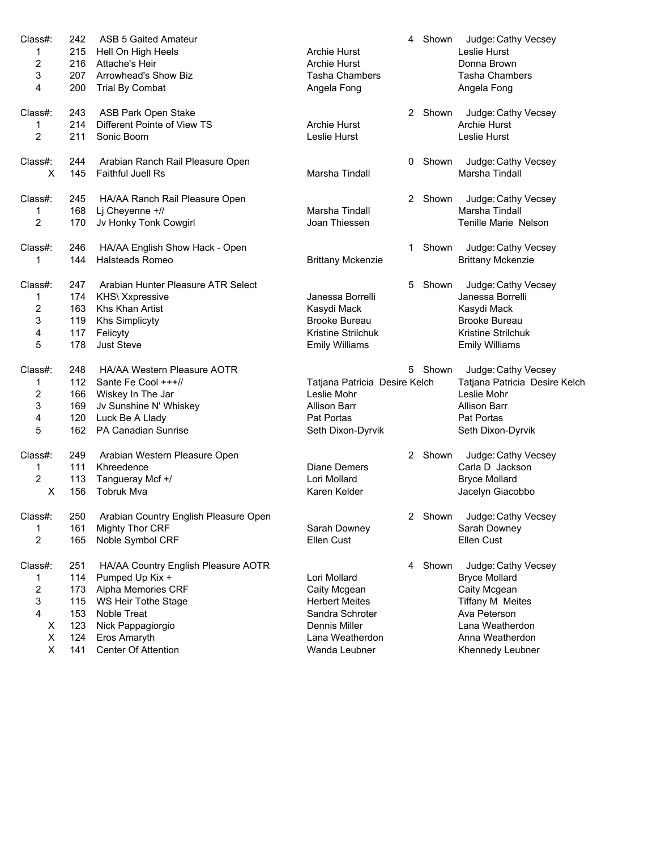| Class#:                 | 242 | <b>ASB 5 Gaited Amateur</b>           |                               |   | 4 Shown | Judge: Cathy Vecsey           |
|-------------------------|-----|---------------------------------------|-------------------------------|---|---------|-------------------------------|
| 1                       | 215 | Hell On High Heels                    | <b>Archie Hurst</b>           |   |         | Leslie Hurst                  |
| 2                       | 216 | Attache's Heir                        | Archie Hurst                  |   |         | Donna Brown                   |
| 3                       | 207 | Arrowhead's Show Biz                  | <b>Tasha Chambers</b>         |   |         | <b>Tasha Chambers</b>         |
| 4                       | 200 | <b>Trial By Combat</b>                | Angela Fong                   |   |         | Angela Fong                   |
|                         |     |                                       |                               |   |         |                               |
| Class#:                 | 243 | ASB Park Open Stake                   |                               |   | 2 Shown | Judge: Cathy Vecsey           |
| 1                       | 214 | Different Pointe of View TS           | <b>Archie Hurst</b>           |   |         | Archie Hurst                  |
| $\overline{c}$          | 211 | Sonic Boom                            | Leslie Hurst                  |   |         | Leslie Hurst                  |
|                         |     |                                       |                               |   |         |                               |
| Class#:                 | 244 | Arabian Ranch Rail Pleasure Open      |                               |   | 0 Shown | Judge: Cathy Vecsey           |
| X                       | 145 | <b>Faithful Juell Rs</b>              | Marsha Tindall                |   |         | Marsha Tindall                |
|                         |     |                                       |                               |   |         |                               |
| Class#:                 | 245 | HA/AA Ranch Rail Pleasure Open        |                               |   | 2 Shown | Judge: Cathy Vecsey           |
| 1                       | 168 | Lj Cheyenne +//                       | Marsha Tindall                |   |         | Marsha Tindall                |
|                         |     |                                       |                               |   |         |                               |
| 2                       | 170 | Jv Honky Tonk Cowgirl                 | Joan Thiessen                 |   |         | Tenille Marie Nelson          |
|                         | 246 |                                       |                               |   | Shown   |                               |
| Class#:                 |     | HA/AA English Show Hack - Open        |                               | 1 |         | Judge: Cathy Vecsey           |
| 1                       | 144 | Halsteads Romeo                       | <b>Brittany Mckenzie</b>      |   |         | <b>Brittany Mckenzie</b>      |
| Class#:                 | 247 | Arabian Hunter Pleasure ATR Select    |                               | 5 | Shown   |                               |
|                         |     |                                       |                               |   |         | Judge: Cathy Vecsey           |
| 1                       | 174 | KHS\ Xxpressive                       | Janessa Borrelli              |   |         | Janessa Borrelli              |
| 2                       | 163 | Khs Khan Artist                       | Kasydi Mack                   |   |         | Kasydi Mack                   |
| 3                       | 119 | <b>Khs Simplicyty</b>                 | <b>Brooke Bureau</b>          |   |         | <b>Brooke Bureau</b>          |
| 4                       | 117 | Felicyty                              | Kristine Strilchuk            |   |         | Kristine Strilchuk            |
| 5                       | 178 | <b>Just Steve</b>                     | <b>Emily Williams</b>         |   |         | <b>Emily Williams</b>         |
|                         |     |                                       |                               |   |         |                               |
| Class#:                 | 248 | HA/AA Western Pleasure AOTR           |                               |   | 5 Shown | Judge: Cathy Vecsey           |
| 1                       | 112 | Sante Fe Cool +++//                   | Tatjana Patricia Desire Kelch |   |         | Tatjana Patricia Desire Kelch |
| $\overline{\mathbf{c}}$ | 166 | Wiskey In The Jar                     | Leslie Mohr                   |   |         | Leslie Mohr                   |
| 3                       | 169 | Jv Sunshine N' Whiskey                | <b>Allison Barr</b>           |   |         | <b>Allison Barr</b>           |
| 4                       | 120 | Luck Be A Llady                       | Pat Portas                    |   |         | Pat Portas                    |
| 5                       | 162 | <b>PA Canadian Sunrise</b>            | Seth Dixon-Dyrvik             |   |         | Seth Dixon-Dyrvik             |
|                         |     |                                       |                               |   |         |                               |
| Class#:                 | 249 | Arabian Western Pleasure Open         |                               |   | 2 Shown | Judge: Cathy Vecsey           |
| 1                       | 111 | Khreedence                            | <b>Diane Demers</b>           |   |         | Carla D Jackson               |
| $\overline{c}$          | 113 | Tangueray Mcf +/                      | Lori Mollard                  |   |         | <b>Bryce Mollard</b>          |
| X                       | 156 | <b>Tobruk Mva</b>                     | Karen Kelder                  |   |         | Jacelyn Giacobbo              |
|                         |     |                                       |                               |   |         |                               |
| Class#:                 | 250 | Arabian Country English Pleasure Open |                               |   |         | 2 Shown Judge: Cathy Vecsey   |
| 1                       | 161 | <b>Mighty Thor CRF</b>                | Sarah Downey                  |   |         | Sarah Downey                  |
| $\overline{c}$          | 165 | Noble Symbol CRF                      | Ellen Cust                    |   |         | Ellen Cust                    |
|                         |     |                                       |                               |   |         |                               |
| Class#:                 | 251 | HA/AA Country English Pleasure AOTR   |                               |   | 4 Shown | Judge: Cathy Vecsey           |
| 1                       | 114 | Pumped Up Kix +                       | Lori Mollard                  |   |         | <b>Bryce Mollard</b>          |
| 2                       | 173 | Alpha Memories CRF                    | Caity Mcgean                  |   |         | Caity Mcgean                  |
| 3                       | 115 | WS Heir Tothe Stage                   | <b>Herbert Meites</b>         |   |         | <b>Tiffany M Meites</b>       |
| 4                       | 153 | Noble Treat                           | Sandra Schroter               |   |         | Ava Peterson                  |
| X                       | 123 | Nick Pappagiorgio                     | <b>Dennis Miller</b>          |   |         | Lana Weatherdon               |
| X                       | 124 | Eros Amaryth                          | Lana Weatherdon               |   |         | Anna Weatherdon               |
| Χ                       | 141 | Center Of Attention                   | Wanda Leubner                 |   |         | Khennedy Leubner              |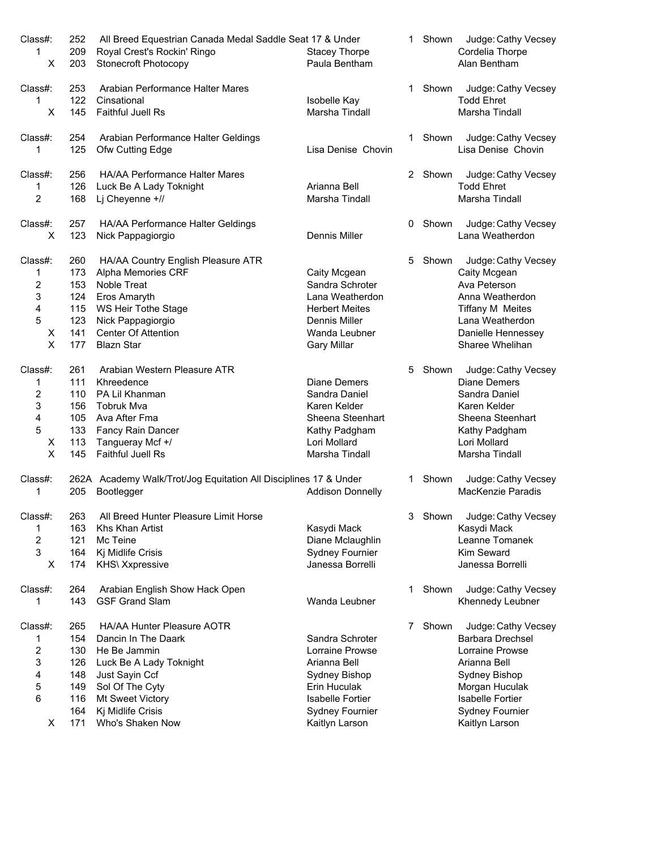| Class#:        | 252 | All Breed Equestrian Canada Medal Saddle Seat 17 & Under         |                         |   | Shown   | Judge: Cathy Vecsey                      |
|----------------|-----|------------------------------------------------------------------|-------------------------|---|---------|------------------------------------------|
| 1              | 209 | Royal Crest's Rockin' Ringo                                      | <b>Stacey Thorpe</b>    |   |         | Cordelia Thorpe                          |
| X              | 203 | Stonecroft Photocopy                                             | Paula Bentham           |   |         | Alan Bentham                             |
|                |     |                                                                  |                         |   |         |                                          |
| Class#:        | 253 | Arabian Performance Halter Mares                                 |                         | 1 | Shown   | Judge: Cathy Vecsey                      |
| 1              | 122 | Cinsational                                                      | Isobelle Kay            |   |         | <b>Todd Ehret</b>                        |
| X              | 145 | Faithful Juell Rs                                                | Marsha Tindall          |   |         | Marsha Tindall                           |
|                |     |                                                                  |                         |   |         |                                          |
| Class#:        | 254 | Arabian Performance Halter Geldings                              |                         | 1 | Shown   | Judge: Cathy Vecsey                      |
| 1              | 125 | Ofw Cutting Edge                                                 | Lisa Denise Chovin      |   |         | Lisa Denise Chovin                       |
| Class#:        | 256 | HA/AA Performance Halter Mares                                   |                         |   | 2 Shown |                                          |
| 1              | 126 | Luck Be A Lady Toknight                                          | Arianna Bell            |   |         | Judge: Cathy Vecsey<br><b>Todd Ehret</b> |
| 2              | 168 | Lj Cheyenne +//                                                  | Marsha Tindall          |   |         | Marsha Tindall                           |
|                |     |                                                                  |                         |   |         |                                          |
| Class#:        | 257 | HA/AA Performance Halter Geldings                                |                         | 0 | Shown   | Judge: Cathy Vecsey                      |
| X              | 123 | Nick Pappagiorgio                                                | Dennis Miller           |   |         | Lana Weatherdon                          |
|                |     |                                                                  |                         |   |         |                                          |
| Class#:        | 260 | HA/AA Country English Pleasure ATR                               |                         | 5 | Shown   | Judge: Cathy Vecsey                      |
| 1              | 173 | Alpha Memories CRF                                               | Caity Mcgean            |   |         | Caity Mcgean                             |
| 2              | 153 | Noble Treat                                                      | Sandra Schroter         |   |         | Ava Peterson                             |
| 3              | 124 | Eros Amaryth                                                     | Lana Weatherdon         |   |         | Anna Weatherdon                          |
| 4              | 115 | WS Heir Tothe Stage                                              | <b>Herbert Meites</b>   |   |         | <b>Tiffany M Meites</b>                  |
| 5              | 123 | Nick Pappagiorgio                                                | Dennis Miller           |   |         | Lana Weatherdon                          |
| X              | 141 | <b>Center Of Attention</b>                                       | Wanda Leubner           |   |         | Danielle Hennessey                       |
| $\pmb{\times}$ | 177 | <b>Blazn Star</b>                                                | <b>Gary Millar</b>      |   |         | Sharee Whelihan                          |
|                |     |                                                                  |                         |   |         |                                          |
| Class#:        | 261 | Arabian Western Pleasure ATR                                     |                         | 5 | Shown   | Judge: Cathy Vecsey                      |
| 1              | 111 | Khreedence                                                       | <b>Diane Demers</b>     |   |         | <b>Diane Demers</b>                      |
| 2              | 110 | PA Lil Khanman                                                   | Sandra Daniel           |   |         | Sandra Daniel                            |
| 3              | 156 | <b>Tobruk Mva</b>                                                | Karen Kelder            |   |         | Karen Kelder                             |
| 4              | 105 | Ava After Fma                                                    | Sheena Steenhart        |   |         | Sheena Steenhart                         |
| 5              | 133 | Fancy Rain Dancer                                                | Kathy Padgham           |   |         | Kathy Padgham                            |
| X              | 113 | Tangueray Mcf +/                                                 | Lori Mollard            |   |         | Lori Mollard                             |
| X              | 145 | <b>Faithful Juell Rs</b>                                         | Marsha Tindall          |   |         | Marsha Tindall                           |
|                |     |                                                                  |                         |   |         |                                          |
| Class#:        |     | 262A Academy Walk/Trot/Jog Equitation All Disciplines 17 & Under |                         |   | 1 Shown | Judge: Cathy Vecsey                      |
| 1              | 205 | Bootlegger                                                       | <b>Addison Donnelly</b> |   |         | <b>MacKenzie Paradis</b>                 |
| Class#:        | 263 | All Breed Hunter Pleasure Limit Horse                            |                         |   | Shown   | Judge: Cathy Vecsey                      |
| 1              | 163 | Khs Khan Artist                                                  | Kasydi Mack             |   |         | Kasydi Mack                              |
| 2              | 121 | Mc Teine                                                         | Diane Mclaughlin        |   |         | Leanne Tomanek                           |
| 3              | 164 | Kj Midlife Crisis                                                | <b>Sydney Fournier</b>  |   |         | Kim Seward                               |
| Χ              | 174 | KHS\ Xxpressive                                                  | Janessa Borrelli        |   |         | Janessa Borrelli                         |
|                |     |                                                                  |                         |   |         |                                          |
| Class#:        | 264 | Arabian English Show Hack Open                                   |                         | 1 | Shown   | Judge: Cathy Vecsey                      |
| 1              | 143 | <b>GSF Grand Slam</b>                                            | Wanda Leubner           |   |         | Khennedy Leubner                         |
|                |     |                                                                  |                         |   |         |                                          |
| Class#:        | 265 | HA/AA Hunter Pleasure AOTR                                       |                         | 7 | Shown   | Judge: Cathy Vecsey                      |
| 1              | 154 | Dancin In The Daark                                              | Sandra Schroter         |   |         | Barbara Drechsel                         |
| 2              | 130 | He Be Jammin                                                     | Lorraine Prowse         |   |         | Lorraine Prowse                          |
| 3              | 126 | Luck Be A Lady Toknight                                          | Arianna Bell            |   |         | Arianna Bell                             |
| 4              | 148 | Just Sayin Ccf                                                   | Sydney Bishop           |   |         | Sydney Bishop                            |
| 5              | 149 | Sol Of The Cyty                                                  | Erin Huculak            |   |         | Morgan Huculak                           |
| 6              | 116 | Mt Sweet Victory                                                 | Isabelle Fortier        |   |         | Isabelle Fortier                         |
|                | 164 | Kj Midlife Crisis                                                | <b>Sydney Fournier</b>  |   |         | Sydney Fournier                          |
| X              | 171 | Who's Shaken Now                                                 | Kaitlyn Larson          |   |         | Kaitlyn Larson                           |
|                |     |                                                                  |                         |   |         |                                          |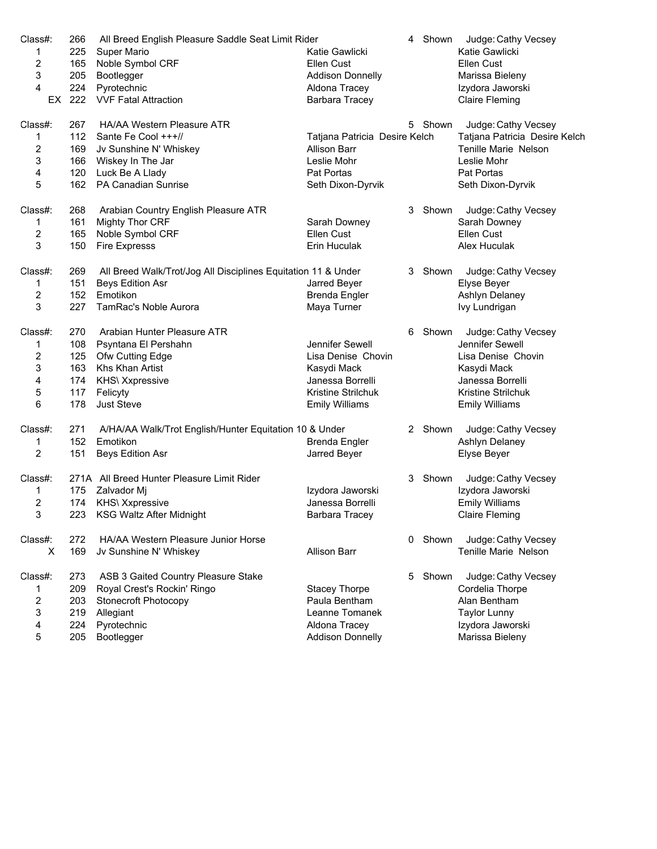| Class#:        | 266 | All Breed English Pleasure Saddle Seat Limit Rider            |                               | 4 | Shown   | Judge: Cathy Vecsey           |
|----------------|-----|---------------------------------------------------------------|-------------------------------|---|---------|-------------------------------|
| 1              | 225 | <b>Super Mario</b>                                            | Katie Gawlicki                |   |         | Katie Gawlicki                |
| 2              | 165 | Noble Symbol CRF                                              | Ellen Cust                    |   |         | Ellen Cust                    |
| 3              | 205 | Bootlegger                                                    | <b>Addison Donnelly</b>       |   |         | Marissa Bieleny               |
| 4              | 224 | Pyrotechnic                                                   | Aldona Tracey                 |   |         | Izydora Jaworski              |
| EX.            | 222 | <b>VVF Fatal Attraction</b>                                   | Barbara Tracey                |   |         | <b>Claire Fleming</b>         |
|                |     |                                                               |                               |   |         |                               |
| Class#:        | 267 | HA/AA Western Pleasure ATR                                    |                               |   | 5 Shown | Judge: Cathy Vecsey           |
| 1              | 112 | Sante Fe Cool +++//                                           | Tatjana Patricia Desire Kelch |   |         | Tatjana Patricia Desire Kelch |
| 2              | 169 | Jv Sunshine N' Whiskey                                        | <b>Allison Barr</b>           |   |         | Tenille Marie Nelson          |
| 3              | 166 | Wiskey In The Jar                                             | Leslie Mohr                   |   |         | Leslie Mohr                   |
| 4              | 120 | Luck Be A Llady                                               | Pat Portas                    |   |         | Pat Portas                    |
| 5              | 162 | <b>PA Canadian Sunrise</b>                                    | Seth Dixon-Dyrvik             |   |         | Seth Dixon-Dyrvik             |
| Class#:        | 268 | Arabian Country English Pleasure ATR                          |                               | 3 | Shown   | Judge: Cathy Vecsey           |
| $\mathbf{1}$   | 161 | Mighty Thor CRF                                               | Sarah Downey                  |   |         | Sarah Downey                  |
| 2              | 165 | Noble Symbol CRF                                              | Ellen Cust                    |   |         | Ellen Cust                    |
| 3              | 150 | <b>Fire Expresss</b>                                          | Erin Huculak                  |   |         | Alex Huculak                  |
| Class#:        | 269 | All Breed Walk/Trot/Jog All Disciplines Equitation 11 & Under |                               | 3 | Shown   | Judge: Cathy Vecsey           |
|                | 151 | <b>Beys Edition Asr</b>                                       |                               |   |         |                               |
| 1              |     | Emotikon                                                      | Jarred Beyer                  |   |         | Elyse Beyer                   |
| $\overline{c}$ | 152 |                                                               | Brenda Engler                 |   |         | Ashlyn Delaney                |
| 3              | 227 | TamRac's Noble Aurora                                         | Maya Turner                   |   |         | Ivy Lundrigan                 |
| Class#:        | 270 | Arabian Hunter Pleasure ATR                                   |                               | 6 | Shown   | Judge: Cathy Vecsey           |
| 1              | 108 | Psyntana El Pershahn                                          | Jennifer Sewell               |   |         | Jennifer Sewell               |
| 2              | 125 | Ofw Cutting Edge                                              | Lisa Denise Chovin            |   |         | Lisa Denise Chovin            |
| 3              | 163 | Khs Khan Artist                                               | Kasydi Mack                   |   |         | Kasydi Mack                   |
| 4              | 174 | KHS\ Xxpressive                                               | Janessa Borrelli              |   |         | Janessa Borrelli              |
| 5              | 117 | Felicyty                                                      | Kristine Strilchuk            |   |         | Kristine Strilchuk            |
| 6              | 178 | Just Steve                                                    | <b>Emily Williams</b>         |   |         | <b>Emily Williams</b>         |
| Class#:        | 271 | A/HA/AA Walk/Trot English/Hunter Equitation 10 & Under        |                               |   | 2 Shown | Judge: Cathy Vecsey           |
| 1              | 152 | Emotikon                                                      | Brenda Engler                 |   |         | Ashlyn Delaney                |
| 2              | 151 | Beys Edition Asr                                              | Jarred Beyer                  |   |         | Elyse Beyer                   |
| Class#:        |     | 271A All Breed Hunter Pleasure Limit Rider                    |                               | 3 | Shown   | Judge: Cathy Vecsey           |
| 1              | 175 | Zalvador Mi                                                   | Izydora Jaworski              |   |         | Izydora Jaworski              |
| 2              | 174 | KHS\ Xxpressive                                               | Janessa Borrelli              |   |         | <b>Emily Williams</b>         |
| 3              | 223 | <b>KSG Waltz After Midnight</b>                               |                               |   |         | <b>Claire Fleming</b>         |
|                |     |                                                               | Barbara Tracey                |   |         |                               |
| Class#:        | 272 | HA/AA Western Pleasure Junior Horse                           |                               | 0 | Shown   | Judge: Cathy Vecsey           |
| X              | 169 | Jv Sunshine N' Whiskey                                        | <b>Allison Barr</b>           |   |         | Tenille Marie Nelson          |
| Class#:        | 273 | ASB 3 Gaited Country Pleasure Stake                           |                               | 5 | Shown   | Judge: Cathy Vecsey           |
| 1              | 209 | Royal Crest's Rockin' Ringo                                   | <b>Stacey Thorpe</b>          |   |         | Cordelia Thorpe               |
| 2              | 203 | <b>Stonecroft Photocopy</b>                                   | Paula Bentham                 |   |         | Alan Bentham                  |
| 3              | 219 | Allegiant                                                     | Leanne Tomanek                |   |         | <b>Taylor Lunny</b>           |
| 4              | 224 | Pyrotechnic                                                   | Aldona Tracey                 |   |         | Izydora Jaworski              |
| 5              | 205 | Bootlegger                                                    | <b>Addison Donnelly</b>       |   |         | Marissa Bieleny               |
|                |     |                                                               |                               |   |         |                               |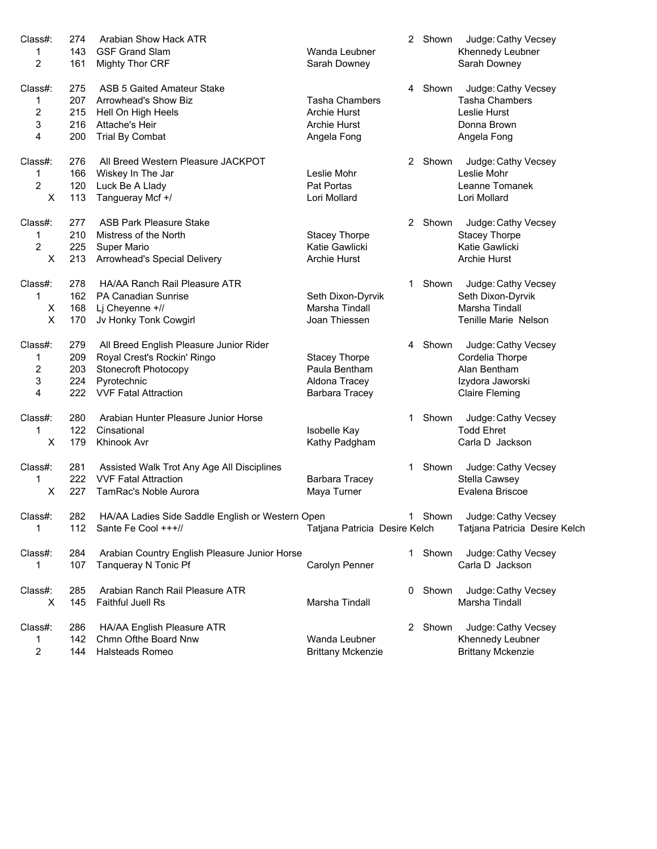| Class#:                 | 274 | Arabian Show Hack ATR                            |                               | 2  | Shown   | Judge: Cathy Vecsey           |
|-------------------------|-----|--------------------------------------------------|-------------------------------|----|---------|-------------------------------|
| 1                       | 143 | <b>GSF Grand Slam</b>                            | Wanda Leubner                 |    |         | Khennedy Leubner              |
| $\overline{2}$          | 161 | <b>Mighty Thor CRF</b>                           | Sarah Downey                  |    |         | Sarah Downey                  |
| Class#:                 | 275 | ASB 5 Gaited Amateur Stake                       |                               | 4  | Shown   | Judge: Cathy Vecsey           |
| 1                       | 207 | Arrowhead's Show Biz                             | <b>Tasha Chambers</b>         |    |         | <b>Tasha Chambers</b>         |
| $\overline{c}$          | 215 | Hell On High Heels                               | <b>Archie Hurst</b>           |    |         | Leslie Hurst                  |
| 3                       | 216 | Attache's Heir                                   | <b>Archie Hurst</b>           |    |         | Donna Brown                   |
| 4                       | 200 | <b>Trial By Combat</b>                           | Angela Fong                   |    |         | Angela Fong                   |
| Class#:                 | 276 | All Breed Western Pleasure JACKPOT               |                               |    | 2 Shown | Judge: Cathy Vecsey           |
| 1                       | 166 | Wiskey In The Jar                                | Leslie Mohr                   |    |         | Leslie Mohr                   |
| $\overline{c}$          | 120 | Luck Be A Llady                                  | Pat Portas                    |    |         | Leanne Tomanek                |
| X                       | 113 | Tangueray Mcf +/                                 | Lori Mollard                  |    |         | Lori Mollard                  |
| Class#:                 | 277 | <b>ASB Park Pleasure Stake</b>                   |                               |    | 2 Shown | Judge: Cathy Vecsey           |
| 1                       | 210 | Mistress of the North                            | <b>Stacey Thorpe</b>          |    |         | <b>Stacey Thorpe</b>          |
| $\overline{c}$          | 225 | <b>Super Mario</b>                               | Katie Gawlicki                |    |         | Katie Gawlicki                |
| X                       | 213 | Arrowhead's Special Delivery                     | Archie Hurst                  |    |         | Archie Hurst                  |
| Class#:                 | 278 | HA/AA Ranch Rail Pleasure ATR                    |                               | 1  | Shown   | Judge: Cathy Vecsey           |
| 1                       | 162 | <b>PA Canadian Sunrise</b>                       | Seth Dixon-Dyrvik             |    |         | Seth Dixon-Dyrvik             |
| Χ                       | 168 | Lj Cheyenne +//                                  | Marsha Tindall                |    |         | Marsha Tindall                |
| X                       | 170 | Jv Honky Tonk Cowgirl                            | Joan Thiessen                 |    |         | Tenille Marie Nelson          |
| Class#:                 | 279 | All Breed English Pleasure Junior Rider          |                               | 4  | Shown   | Judge: Cathy Vecsey           |
| 1                       | 209 | Royal Crest's Rockin' Ringo                      | <b>Stacey Thorpe</b>          |    |         | Cordelia Thorpe               |
| $\overline{\mathbf{c}}$ | 203 | <b>Stonecroft Photocopy</b>                      | Paula Bentham                 |    |         | Alan Bentham                  |
| 3                       | 224 | Pyrotechnic                                      | Aldona Tracey                 |    |         | Izydora Jaworski              |
| 4                       | 222 | <b>VVF Fatal Attraction</b>                      | Barbara Tracey                |    |         | <b>Claire Fleming</b>         |
| Class#:                 | 280 | Arabian Hunter Pleasure Junior Horse             |                               | 1. | Shown   | Judge: Cathy Vecsey           |
| 1                       | 122 | Cinsational                                      | Isobelle Kay                  |    |         | <b>Todd Ehret</b>             |
| X                       | 179 | Khinook Avr                                      | Kathy Padgham                 |    |         | Carla D Jackson               |
| Class#:                 | 281 | Assisted Walk Trot Any Age All Disciplines       |                               | 1  | Shown   | Judge: Cathy Vecsey           |
| 1                       | 222 | <b>VVF Fatal Attraction</b>                      | Barbara Tracey                |    |         | Stella Cawsey                 |
| X                       | 227 | TamRac's Noble Aurora                            | Maya Turner                   |    |         | Evalena Briscoe               |
| Class#:                 | 282 | HA/AA Ladies Side Saddle English or Western Open |                               |    |         | 1 Shown Judge: Cathy Vecsey   |
| 1                       |     | 112 Sante Fe Cool +++//                          | Tatjana Patricia Desire Kelch |    |         | Tatjana Patricia Desire Kelch |
| Class#:                 | 284 | Arabian Country English Pleasure Junior Horse    |                               |    | 1 Shown | Judge: Cathy Vecsey           |
| 1                       | 107 | Tanqueray N Tonic Pf                             | Carolyn Penner                |    |         | Carla D Jackson               |
| Class#:                 | 285 | Arabian Ranch Rail Pleasure ATR                  |                               | 0  | Shown   | Judge: Cathy Vecsey           |
| X                       | 145 | Faithful Juell Rs                                | Marsha Tindall                |    |         | Marsha Tindall                |
| Class#:                 | 286 | HA/AA English Pleasure ATR                       |                               | 2  | Shown   | Judge: Cathy Vecsey           |
| 1                       | 142 | Chmn Ofthe Board Nnw                             | Wanda Leubner                 |    |         | Khennedy Leubner              |
| 2                       | 144 | <b>Halsteads Romeo</b>                           | <b>Brittany Mckenzie</b>      |    |         | <b>Brittany Mckenzie</b>      |